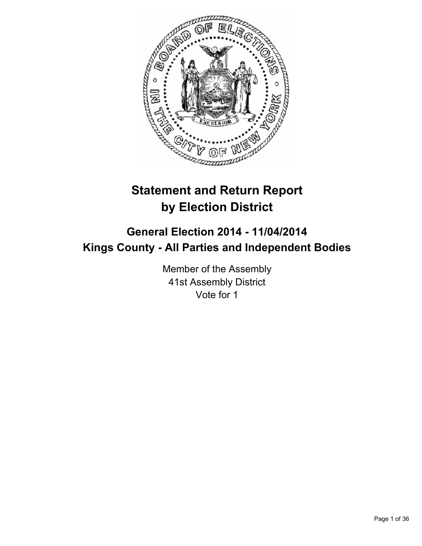

# **Statement and Return Report by Election District**

# **General Election 2014 - 11/04/2014 Kings County - All Parties and Independent Bodies**

Member of the Assembly 41st Assembly District Vote for 1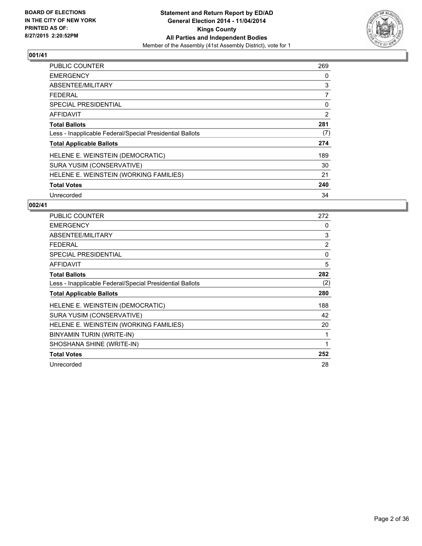

| <b>PUBLIC COUNTER</b>                                    | 269 |
|----------------------------------------------------------|-----|
| <b>EMERGENCY</b>                                         | 0   |
| ABSENTEE/MILITARY                                        | 3   |
| <b>FEDERAL</b>                                           | 7   |
| <b>SPECIAL PRESIDENTIAL</b>                              | 0   |
| AFFIDAVIT                                                | 2   |
| <b>Total Ballots</b>                                     | 281 |
| Less - Inapplicable Federal/Special Presidential Ballots | (7) |
| <b>Total Applicable Ballots</b>                          | 274 |
| HELENE E. WEINSTEIN (DEMOCRATIC)                         | 189 |
| SURA YUSIM (CONSERVATIVE)                                | 30  |
| HELENE E. WEINSTEIN (WORKING FAMILIES)                   | 21  |
| <b>Total Votes</b>                                       | 240 |
| Unrecorded                                               | 34  |

| <b>PUBLIC COUNTER</b>                                    | 272            |
|----------------------------------------------------------|----------------|
| <b>EMERGENCY</b>                                         | 0              |
| ABSENTEE/MILITARY                                        | 3              |
| <b>FEDERAL</b>                                           | $\overline{2}$ |
| <b>SPECIAL PRESIDENTIAL</b>                              | 0              |
| <b>AFFIDAVIT</b>                                         | 5              |
| <b>Total Ballots</b>                                     | 282            |
| Less - Inapplicable Federal/Special Presidential Ballots | (2)            |
| <b>Total Applicable Ballots</b>                          | 280            |
| HELENE E. WEINSTEIN (DEMOCRATIC)                         | 188            |
| SURA YUSIM (CONSERVATIVE)                                | 42             |
| HELENE E. WEINSTEIN (WORKING FAMILIES)                   | 20             |
| BINYAMIN TURIN (WRITE-IN)                                | 1              |
| SHOSHANA SHINE (WRITE-IN)                                | 1              |
| <b>Total Votes</b>                                       | 252            |
| Unrecorded                                               | 28             |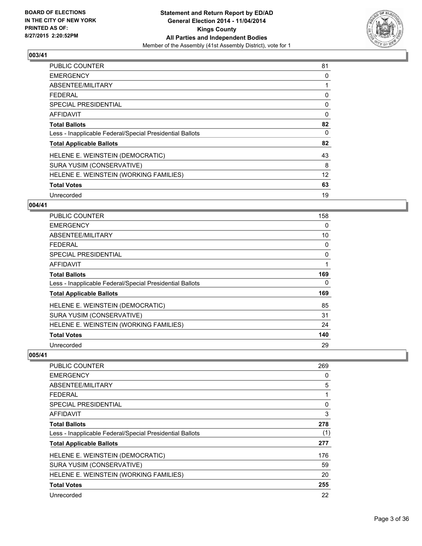

| PUBLIC COUNTER                                           | 81 |
|----------------------------------------------------------|----|
| <b>EMERGENCY</b>                                         | 0  |
| ABSENTEE/MILITARY                                        | 1  |
| <b>FEDERAL</b>                                           | 0  |
| SPECIAL PRESIDENTIAL                                     | 0  |
| AFFIDAVIT                                                | 0  |
| <b>Total Ballots</b>                                     | 82 |
| Less - Inapplicable Federal/Special Presidential Ballots | 0  |
| <b>Total Applicable Ballots</b>                          | 82 |
| HELENE E. WEINSTEIN (DEMOCRATIC)                         | 43 |
| SURA YUSIM (CONSERVATIVE)                                | 8  |
| HELENE E. WEINSTEIN (WORKING FAMILIES)                   | 12 |
| <b>Total Votes</b>                                       | 63 |
| Unrecorded                                               | 19 |

# **004/41**

| <b>PUBLIC COUNTER</b>                                    | 158 |
|----------------------------------------------------------|-----|
| <b>EMERGENCY</b>                                         | 0   |
| ABSENTEE/MILITARY                                        | 10  |
| <b>FEDERAL</b>                                           | 0   |
| <b>SPECIAL PRESIDENTIAL</b>                              | 0   |
| <b>AFFIDAVIT</b>                                         | 1   |
| <b>Total Ballots</b>                                     | 169 |
| Less - Inapplicable Federal/Special Presidential Ballots | 0   |
| <b>Total Applicable Ballots</b>                          | 169 |
| HELENE E. WEINSTEIN (DEMOCRATIC)                         | 85  |
| SURA YUSIM (CONSERVATIVE)                                | 31  |
| HELENE E. WEINSTEIN (WORKING FAMILIES)                   | 24  |
| <b>Total Votes</b>                                       | 140 |
| Unrecorded                                               | 29  |

| PUBLIC COUNTER                                           | 269 |
|----------------------------------------------------------|-----|
| <b>EMERGENCY</b>                                         | 0   |
| ABSENTEE/MILITARY                                        | 5   |
| FEDERAL                                                  | 1   |
| SPECIAL PRESIDENTIAL                                     | 0   |
| AFFIDAVIT                                                | 3   |
| <b>Total Ballots</b>                                     | 278 |
| Less - Inapplicable Federal/Special Presidential Ballots | (1) |
| <b>Total Applicable Ballots</b>                          | 277 |
| HELENE E. WEINSTEIN (DEMOCRATIC)                         | 176 |
| SURA YUSIM (CONSERVATIVE)                                | 59  |
| HELENE E. WEINSTEIN (WORKING FAMILIES)                   | 20  |
| <b>Total Votes</b>                                       | 255 |
| Unrecorded                                               | 22  |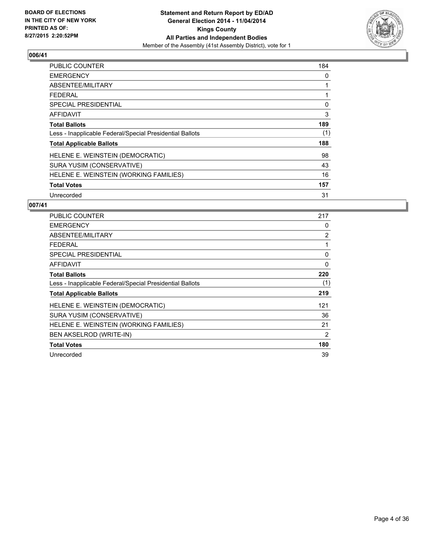

| <b>PUBLIC COUNTER</b>                                    | 184 |
|----------------------------------------------------------|-----|
| <b>EMERGENCY</b>                                         | 0   |
| ABSENTEE/MILITARY                                        | 1   |
| <b>FEDERAL</b>                                           |     |
| SPECIAL PRESIDENTIAL                                     | 0   |
| <b>AFFIDAVIT</b>                                         | 3   |
| <b>Total Ballots</b>                                     | 189 |
| Less - Inapplicable Federal/Special Presidential Ballots | (1) |
| <b>Total Applicable Ballots</b>                          | 188 |
| HELENE E. WEINSTEIN (DEMOCRATIC)                         | 98  |
| SURA YUSIM (CONSERVATIVE)                                | 43  |
| HELENE E. WEINSTEIN (WORKING FAMILIES)                   | 16  |
| <b>Total Votes</b>                                       | 157 |
| Unrecorded                                               | 31  |

| <b>PUBLIC COUNTER</b>                                    | 217            |
|----------------------------------------------------------|----------------|
| <b>EMERGENCY</b>                                         | 0              |
| ABSENTEE/MILITARY                                        | $\overline{2}$ |
| <b>FEDERAL</b>                                           |                |
| SPECIAL PRESIDENTIAL                                     | 0              |
| <b>AFFIDAVIT</b>                                         | 0              |
| <b>Total Ballots</b>                                     | 220            |
| Less - Inapplicable Federal/Special Presidential Ballots | (1)            |
| <b>Total Applicable Ballots</b>                          | 219            |
| HELENE E. WEINSTEIN (DEMOCRATIC)                         | 121            |
| SURA YUSIM (CONSERVATIVE)                                | 36             |
| HELENE E. WEINSTEIN (WORKING FAMILIES)                   | 21             |
| BEN AKSELROD (WRITE-IN)                                  | 2              |
| <b>Total Votes</b>                                       | 180            |
| Unrecorded                                               | 39             |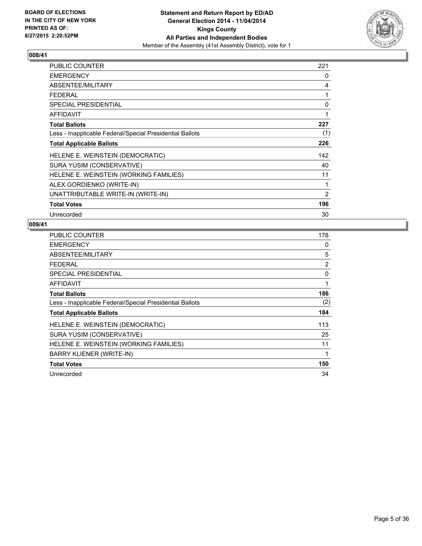

| PUBLIC COUNTER                                           | 221            |
|----------------------------------------------------------|----------------|
| <b>EMERGENCY</b>                                         | 0              |
| ABSENTEE/MILITARY                                        | 4              |
| <b>FEDERAL</b>                                           | 1              |
| <b>SPECIAL PRESIDENTIAL</b>                              | 0              |
| <b>AFFIDAVIT</b>                                         | 1              |
| <b>Total Ballots</b>                                     | 227            |
| Less - Inapplicable Federal/Special Presidential Ballots | (1)            |
| <b>Total Applicable Ballots</b>                          | 226            |
| HELENE E. WEINSTEIN (DEMOCRATIC)                         | 142            |
| SURA YUSIM (CONSERVATIVE)                                | 40             |
| HELENE E. WEINSTEIN (WORKING FAMILIES)                   | 11             |
| ALEX GORDIENKO (WRITE-IN)                                | 1              |
| UNATTRIBUTABLE WRITE-IN (WRITE-IN)                       | $\overline{2}$ |
| <b>Total Votes</b>                                       | 196            |
| Unrecorded                                               | 30             |

| PUBLIC COUNTER                                           | 178 |
|----------------------------------------------------------|-----|
| <b>EMERGENCY</b>                                         | 0   |
| ABSENTEE/MILITARY                                        | 5   |
| <b>FEDERAL</b>                                           | 2   |
| <b>SPECIAL PRESIDENTIAL</b>                              | 0   |
| <b>AFFIDAVIT</b>                                         | 1   |
| <b>Total Ballots</b>                                     | 186 |
| Less - Inapplicable Federal/Special Presidential Ballots | (2) |
| <b>Total Applicable Ballots</b>                          | 184 |
| HELENE E. WEINSTEIN (DEMOCRATIC)                         | 113 |
| SURA YUSIM (CONSERVATIVE)                                | 25  |
| HELENE E. WEINSTEIN (WORKING FAMILIES)                   | 11  |
| <b>BARRY KLIENER (WRITE-IN)</b>                          | 1   |
| <b>Total Votes</b>                                       | 150 |
| Unrecorded                                               | 34  |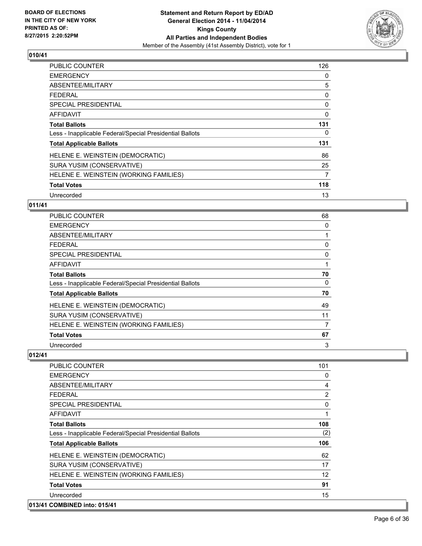

| <b>PUBLIC COUNTER</b>                                    | 126      |
|----------------------------------------------------------|----------|
| <b>EMERGENCY</b>                                         | 0        |
| ABSENTEE/MILITARY                                        | 5        |
| <b>FEDERAL</b>                                           | 0        |
| <b>SPECIAL PRESIDENTIAL</b>                              | 0        |
| <b>AFFIDAVIT</b>                                         | $\Omega$ |
| <b>Total Ballots</b>                                     | 131      |
| Less - Inapplicable Federal/Special Presidential Ballots | 0        |
| <b>Total Applicable Ballots</b>                          | 131      |
| HELENE E. WEINSTEIN (DEMOCRATIC)                         | 86       |
| SURA YUSIM (CONSERVATIVE)                                | 25       |
| HELENE E. WEINSTEIN (WORKING FAMILIES)                   | 7        |
| <b>Total Votes</b>                                       | 118      |
| Unrecorded                                               | 13       |

# **011/41**

| <b>PUBLIC COUNTER</b>                                    | 68 |
|----------------------------------------------------------|----|
| <b>EMERGENCY</b>                                         | 0  |
| ABSENTEE/MILITARY                                        |    |
| <b>FEDERAL</b>                                           | 0  |
| <b>SPECIAL PRESIDENTIAL</b>                              | 0  |
| <b>AFFIDAVIT</b>                                         |    |
| <b>Total Ballots</b>                                     | 70 |
| Less - Inapplicable Federal/Special Presidential Ballots | 0  |
| <b>Total Applicable Ballots</b>                          | 70 |
| HELENE E. WEINSTEIN (DEMOCRATIC)                         | 49 |
| SURA YUSIM (CONSERVATIVE)                                | 11 |
| HELENE E. WEINSTEIN (WORKING FAMILIES)                   | 7  |
| <b>Total Votes</b>                                       | 67 |
| Unrecorded                                               | 3  |

| 101 |
|-----|
| 0   |
| 4   |
| 2   |
| 0   |
| 1   |
| 108 |
| (2) |
| 106 |
| 62  |
| 17  |
| 12  |
| 91  |
| 15  |
|     |
|     |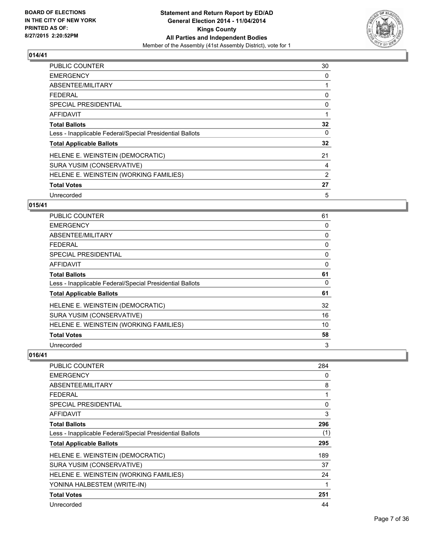

| <b>PUBLIC COUNTER</b>                                    | 30 |
|----------------------------------------------------------|----|
| <b>EMERGENCY</b>                                         | 0  |
| ABSENTEE/MILITARY                                        | 1  |
| <b>FEDERAL</b>                                           | 0  |
| <b>SPECIAL PRESIDENTIAL</b>                              | 0  |
| <b>AFFIDAVIT</b>                                         | 1  |
| <b>Total Ballots</b>                                     | 32 |
| Less - Inapplicable Federal/Special Presidential Ballots | 0  |
| <b>Total Applicable Ballots</b>                          | 32 |
| HELENE E. WEINSTEIN (DEMOCRATIC)                         | 21 |
| SURA YUSIM (CONSERVATIVE)                                | 4  |
| HELENE E. WEINSTEIN (WORKING FAMILIES)                   | 2  |
| <b>Total Votes</b>                                       | 27 |
| Unrecorded                                               | 5  |

# **015/41**

| <b>PUBLIC COUNTER</b>                                    | 61       |
|----------------------------------------------------------|----------|
| <b>EMERGENCY</b>                                         | 0        |
| ABSENTEE/MILITARY                                        | 0        |
| <b>FEDERAL</b>                                           | 0        |
| <b>SPECIAL PRESIDENTIAL</b>                              | 0        |
| <b>AFFIDAVIT</b>                                         | 0        |
| <b>Total Ballots</b>                                     | 61       |
| Less - Inapplicable Federal/Special Presidential Ballots | $\Omega$ |
| <b>Total Applicable Ballots</b>                          | 61       |
| HELENE E. WEINSTEIN (DEMOCRATIC)                         | 32       |
| SURA YUSIM (CONSERVATIVE)                                | 16       |
| HELENE E. WEINSTEIN (WORKING FAMILIES)                   | 10       |
| <b>Total Votes</b>                                       | 58       |
| Unrecorded                                               | 3        |

| <b>PUBLIC COUNTER</b>                                    | 284      |
|----------------------------------------------------------|----------|
| <b>EMERGENCY</b>                                         | 0        |
| ABSENTEE/MILITARY                                        | 8        |
| <b>FEDERAL</b>                                           | 1        |
| <b>SPECIAL PRESIDENTIAL</b>                              | $\Omega$ |
| AFFIDAVIT                                                | 3        |
| <b>Total Ballots</b>                                     | 296      |
| Less - Inapplicable Federal/Special Presidential Ballots | (1)      |
| <b>Total Applicable Ballots</b>                          | 295      |
| HELENE E. WEINSTEIN (DEMOCRATIC)                         | 189      |
| SURA YUSIM (CONSERVATIVE)                                | 37       |
| HELENE E. WEINSTEIN (WORKING FAMILIES)                   | 24       |
| YONINA HALBESTEM (WRITE-IN)                              | 1        |
| <b>Total Votes</b>                                       | 251      |
| Unrecorded                                               | 44       |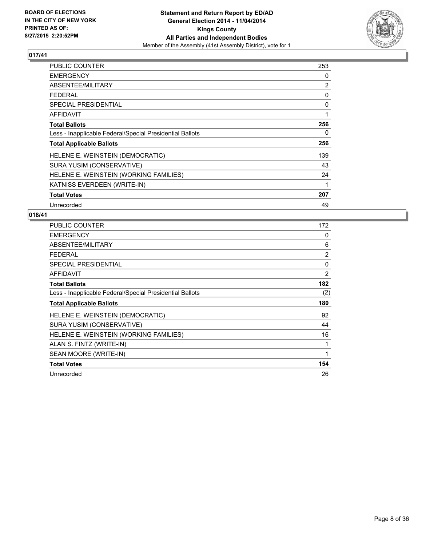

| PUBLIC COUNTER                                           | 253 |
|----------------------------------------------------------|-----|
| <b>EMERGENCY</b>                                         | 0   |
| ABSENTEE/MILITARY                                        | 2   |
| <b>FEDERAL</b>                                           | 0   |
| <b>SPECIAL PRESIDENTIAL</b>                              | 0   |
| AFFIDAVIT                                                | 1   |
| <b>Total Ballots</b>                                     | 256 |
| Less - Inapplicable Federal/Special Presidential Ballots | 0   |
| <b>Total Applicable Ballots</b>                          | 256 |
| HELENE E. WEINSTEIN (DEMOCRATIC)                         | 139 |
| SURA YUSIM (CONSERVATIVE)                                | 43  |
| HELENE E. WEINSTEIN (WORKING FAMILIES)                   | 24  |
| KATNISS EVERDEEN (WRITE-IN)                              | 1   |
| <b>Total Votes</b>                                       | 207 |
| Unrecorded                                               | 49  |

| <b>PUBLIC COUNTER</b>                                    | 172            |
|----------------------------------------------------------|----------------|
| <b>EMERGENCY</b>                                         | 0              |
| ABSENTEE/MILITARY                                        | 6              |
| FEDERAL                                                  | $\overline{2}$ |
| <b>SPECIAL PRESIDENTIAL</b>                              | 0              |
| <b>AFFIDAVIT</b>                                         | 2              |
| <b>Total Ballots</b>                                     | 182            |
| Less - Inapplicable Federal/Special Presidential Ballots | (2)            |
| <b>Total Applicable Ballots</b>                          | 180            |
|                                                          |                |
| HELENE E. WEINSTEIN (DEMOCRATIC)                         | 92             |
| SURA YUSIM (CONSERVATIVE)                                | 44             |
| HELENE E. WEINSTEIN (WORKING FAMILIES)                   | 16             |
| ALAN S. FINTZ (WRITE-IN)                                 | 1              |
| SEAN MOORE (WRITE-IN)                                    | 1              |
| <b>Total Votes</b>                                       | 154            |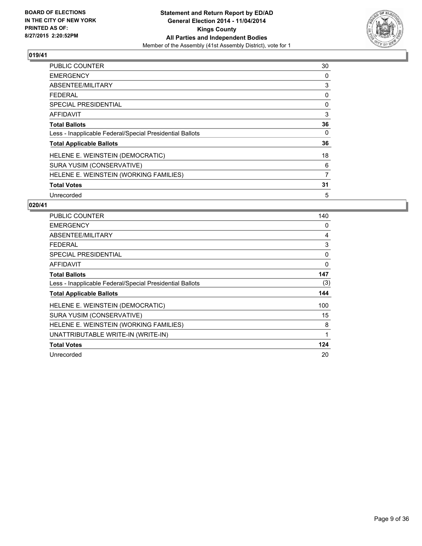

| <b>PUBLIC COUNTER</b>                                    | 30 |
|----------------------------------------------------------|----|
| <b>EMERGENCY</b>                                         | 0  |
| ABSENTEE/MILITARY                                        | 3  |
| <b>FEDERAL</b>                                           | 0  |
| SPECIAL PRESIDENTIAL                                     | 0  |
| <b>AFFIDAVIT</b>                                         | 3  |
| <b>Total Ballots</b>                                     | 36 |
| Less - Inapplicable Federal/Special Presidential Ballots | 0  |
| <b>Total Applicable Ballots</b>                          | 36 |
| HELENE E. WEINSTEIN (DEMOCRATIC)                         | 18 |
| SURA YUSIM (CONSERVATIVE)                                | 6  |
| HELENE E. WEINSTEIN (WORKING FAMILIES)                   | 7  |
| <b>Total Votes</b>                                       | 31 |
| Unrecorded                                               | 5  |

| <b>PUBLIC COUNTER</b>                                    | 140 |
|----------------------------------------------------------|-----|
| <b>EMERGENCY</b>                                         | 0   |
| ABSENTEE/MILITARY                                        | 4   |
| <b>FEDERAL</b>                                           | 3   |
| SPECIAL PRESIDENTIAL                                     | 0   |
| <b>AFFIDAVIT</b>                                         | 0   |
| <b>Total Ballots</b>                                     | 147 |
| Less - Inapplicable Federal/Special Presidential Ballots | (3) |
| <b>Total Applicable Ballots</b>                          | 144 |
| HELENE E. WEINSTEIN (DEMOCRATIC)                         | 100 |
| SURA YUSIM (CONSERVATIVE)                                | 15  |
| HELENE E. WEINSTEIN (WORKING FAMILIES)                   | 8   |
| UNATTRIBUTABLE WRITE-IN (WRITE-IN)                       | 1   |
| <b>Total Votes</b>                                       | 124 |
| Unrecorded                                               | 20  |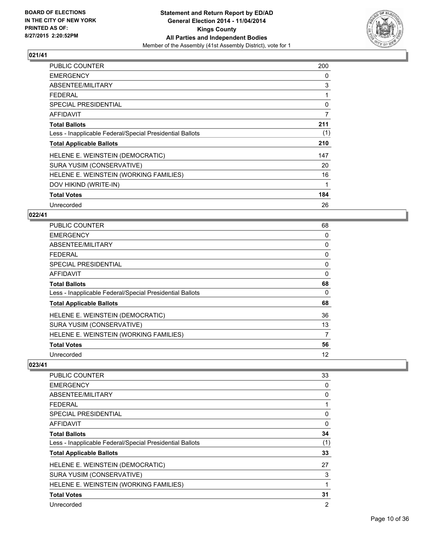

| <b>PUBLIC COUNTER</b>                                    | 200            |
|----------------------------------------------------------|----------------|
| <b>EMERGENCY</b>                                         | 0              |
| ABSENTEE/MILITARY                                        | 3              |
| <b>FEDERAL</b>                                           | 1              |
| <b>SPECIAL PRESIDENTIAL</b>                              | 0              |
| <b>AFFIDAVIT</b>                                         | $\overline{7}$ |
| <b>Total Ballots</b>                                     | 211            |
| Less - Inapplicable Federal/Special Presidential Ballots | (1)            |
| <b>Total Applicable Ballots</b>                          | 210            |
| HELENE E. WEINSTEIN (DEMOCRATIC)                         | 147            |
| SURA YUSIM (CONSERVATIVE)                                | 20             |
| HELENE E. WEINSTEIN (WORKING FAMILIES)                   | 16             |
| DOV HIKIND (WRITE-IN)                                    | 1              |
| <b>Total Votes</b>                                       | 184            |
| Unrecorded                                               | 26             |

#### **022/41**

| <b>PUBLIC COUNTER</b>                                    | 68 |
|----------------------------------------------------------|----|
| <b>EMERGENCY</b>                                         | 0  |
| ABSENTEE/MILITARY                                        | 0  |
| <b>FEDERAL</b>                                           | 0  |
| <b>SPECIAL PRESIDENTIAL</b>                              | 0  |
| AFFIDAVIT                                                | 0  |
| <b>Total Ballots</b>                                     | 68 |
| Less - Inapplicable Federal/Special Presidential Ballots | 0  |
| <b>Total Applicable Ballots</b>                          | 68 |
| HELENE E. WEINSTEIN (DEMOCRATIC)                         | 36 |
| SURA YUSIM (CONSERVATIVE)                                | 13 |
| HELENE E. WEINSTEIN (WORKING FAMILIES)                   | 7  |
| <b>Total Votes</b>                                       | 56 |
| Unrecorded                                               | 12 |

| <b>PUBLIC COUNTER</b>                                    | 33             |
|----------------------------------------------------------|----------------|
| <b>EMERGENCY</b>                                         | 0              |
| ABSENTEE/MILITARY                                        | 0              |
| <b>FEDERAL</b>                                           | 1              |
| <b>SPECIAL PRESIDENTIAL</b>                              | 0              |
| AFFIDAVIT                                                | 0              |
| <b>Total Ballots</b>                                     | 34             |
| Less - Inapplicable Federal/Special Presidential Ballots | (1)            |
| <b>Total Applicable Ballots</b>                          | 33             |
| HELENE E. WEINSTEIN (DEMOCRATIC)                         | 27             |
| SURA YUSIM (CONSERVATIVE)                                | 3              |
| HELENE E. WEINSTEIN (WORKING FAMILIES)                   | 1              |
| <b>Total Votes</b>                                       | 31             |
| Unrecorded                                               | $\overline{2}$ |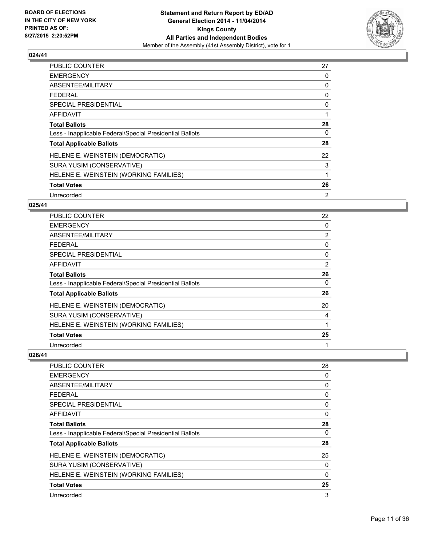

| <b>PUBLIC COUNTER</b>                                    | 27             |
|----------------------------------------------------------|----------------|
| <b>EMERGENCY</b>                                         | 0              |
| ABSENTEE/MILITARY                                        | 0              |
| <b>FEDERAL</b>                                           | 0              |
| <b>SPECIAL PRESIDENTIAL</b>                              | 0              |
| AFFIDAVIT                                                | 1              |
| <b>Total Ballots</b>                                     | 28             |
| Less - Inapplicable Federal/Special Presidential Ballots | 0              |
| <b>Total Applicable Ballots</b>                          | 28             |
| HELENE E. WEINSTEIN (DEMOCRATIC)                         | 22             |
| SURA YUSIM (CONSERVATIVE)                                | 3              |
| HELENE E. WEINSTEIN (WORKING FAMILIES)                   | 1              |
| <b>Total Votes</b>                                       | 26             |
| Unrecorded                                               | $\overline{2}$ |

# **025/41**

| PUBLIC COUNTER                                           | 22             |
|----------------------------------------------------------|----------------|
| <b>EMERGENCY</b>                                         | 0              |
| ABSENTEE/MILITARY                                        | $\overline{2}$ |
| <b>FEDERAL</b>                                           | 0              |
| SPECIAL PRESIDENTIAL                                     | 0              |
| <b>AFFIDAVIT</b>                                         | 2              |
| <b>Total Ballots</b>                                     | 26             |
| Less - Inapplicable Federal/Special Presidential Ballots | 0              |
| <b>Total Applicable Ballots</b>                          | 26             |
| HELENE E. WEINSTEIN (DEMOCRATIC)                         | 20             |
| SURA YUSIM (CONSERVATIVE)                                | 4              |
| HELENE E. WEINSTEIN (WORKING FAMILIES)                   | 1              |
| <b>Total Votes</b>                                       | 25             |
| Unrecorded                                               | 1              |

| 28 |
|----|
| 0  |
| 0  |
| 0  |
| 0  |
| 0  |
| 28 |
| 0  |
| 28 |
| 25 |
| 0  |
| 0  |
| 25 |
| 3  |
|    |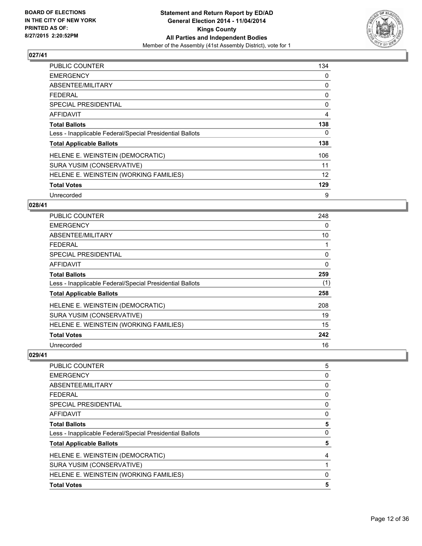

| <b>PUBLIC COUNTER</b>                                    | 134 |
|----------------------------------------------------------|-----|
| <b>EMERGENCY</b>                                         | 0   |
| ABSENTEE/MILITARY                                        | 0   |
| <b>FEDERAL</b>                                           | 0   |
| <b>SPECIAL PRESIDENTIAL</b>                              | 0   |
| AFFIDAVIT                                                | 4   |
| <b>Total Ballots</b>                                     | 138 |
| Less - Inapplicable Federal/Special Presidential Ballots | 0   |
| <b>Total Applicable Ballots</b>                          | 138 |
| HELENE E. WEINSTEIN (DEMOCRATIC)                         | 106 |
| SURA YUSIM (CONSERVATIVE)                                | 11  |
| HELENE E. WEINSTEIN (WORKING FAMILIES)                   | 12  |
| <b>Total Votes</b>                                       | 129 |
| Unrecorded                                               | 9   |

## **028/41**

| PUBLIC COUNTER                                           | 248 |
|----------------------------------------------------------|-----|
| <b>EMERGENCY</b>                                         | 0   |
| ABSENTEE/MILITARY                                        | 10  |
| <b>FEDERAL</b>                                           | 1   |
| <b>SPECIAL PRESIDENTIAL</b>                              | 0   |
| AFFIDAVIT                                                | 0   |
| Total Ballots                                            | 259 |
| Less - Inapplicable Federal/Special Presidential Ballots | (1) |
| <b>Total Applicable Ballots</b>                          | 258 |
| HELENE E. WEINSTEIN (DEMOCRATIC)                         | 208 |
| SURA YUSIM (CONSERVATIVE)                                | 19  |
| HELENE E. WEINSTEIN (WORKING FAMILIES)                   | 15  |
| <b>Total Votes</b>                                       | 242 |
| Unrecorded                                               | 16  |

| <b>PUBLIC COUNTER</b>                                    | 5        |
|----------------------------------------------------------|----------|
| <b>EMERGENCY</b>                                         | 0        |
| ABSENTEE/MILITARY                                        | 0        |
| <b>FEDERAL</b>                                           | 0        |
| SPECIAL PRESIDENTIAL                                     | 0        |
| <b>AFFIDAVIT</b>                                         | 0        |
| <b>Total Ballots</b>                                     | 5        |
| Less - Inapplicable Federal/Special Presidential Ballots | 0        |
| <b>Total Applicable Ballots</b>                          | 5        |
| HELENE E. WEINSTEIN (DEMOCRATIC)                         | 4        |
| SURA YUSIM (CONSERVATIVE)                                |          |
| HELENE E. WEINSTEIN (WORKING FAMILIES)                   | $\Omega$ |
| <b>Total Votes</b>                                       | 5        |
|                                                          |          |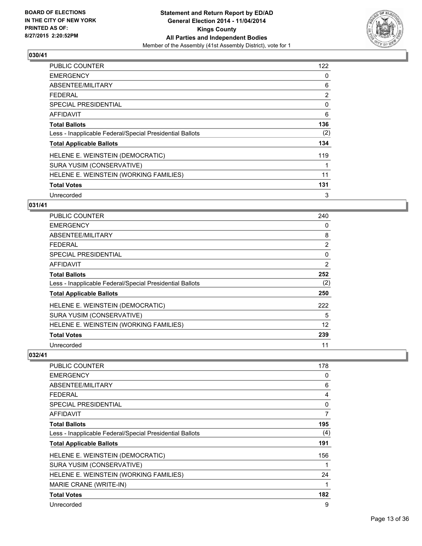

| <b>PUBLIC COUNTER</b>                                    | 122 |
|----------------------------------------------------------|-----|
| <b>EMERGENCY</b>                                         | 0   |
| ABSENTEE/MILITARY                                        | 6   |
| <b>FEDERAL</b>                                           | 2   |
| SPECIAL PRESIDENTIAL                                     | 0   |
| <b>AFFIDAVIT</b>                                         | 6   |
| <b>Total Ballots</b>                                     | 136 |
| Less - Inapplicable Federal/Special Presidential Ballots | (2) |
| <b>Total Applicable Ballots</b>                          | 134 |
| HELENE E. WEINSTEIN (DEMOCRATIC)                         | 119 |
| SURA YUSIM (CONSERVATIVE)                                | 1   |
| HELENE E. WEINSTEIN (WORKING FAMILIES)                   | 11  |
| <b>Total Votes</b>                                       | 131 |
| Unrecorded                                               | 3   |

# **031/41**

| PUBLIC COUNTER                                           | 240            |
|----------------------------------------------------------|----------------|
| <b>EMERGENCY</b>                                         | 0              |
| ABSENTEE/MILITARY                                        | 8              |
| <b>FEDERAL</b>                                           | $\overline{2}$ |
| <b>SPECIAL PRESIDENTIAL</b>                              | 0              |
| <b>AFFIDAVIT</b>                                         | 2              |
| <b>Total Ballots</b>                                     | 252            |
| Less - Inapplicable Federal/Special Presidential Ballots | (2)            |
| <b>Total Applicable Ballots</b>                          | 250            |
| HELENE E. WEINSTEIN (DEMOCRATIC)                         | 222            |
| SURA YUSIM (CONSERVATIVE)                                | 5              |
| HELENE E. WEINSTEIN (WORKING FAMILIES)                   | 12             |
| <b>Total Votes</b>                                       | 239            |
| Unrecorded                                               | 11             |

| <b>PUBLIC COUNTER</b>                                    | 178 |
|----------------------------------------------------------|-----|
| <b>EMERGENCY</b>                                         | 0   |
| ABSENTEE/MILITARY                                        | 6   |
| <b>FEDERAL</b>                                           | 4   |
| <b>SPECIAL PRESIDENTIAL</b>                              | 0   |
| <b>AFFIDAVIT</b>                                         | 7   |
| <b>Total Ballots</b>                                     | 195 |
| Less - Inapplicable Federal/Special Presidential Ballots | (4) |
| <b>Total Applicable Ballots</b>                          | 191 |
| HELENE E. WEINSTEIN (DEMOCRATIC)                         | 156 |
| SURA YUSIM (CONSERVATIVE)                                |     |
| HELENE E. WEINSTEIN (WORKING FAMILIES)                   | 24  |
| MARIE CRANE (WRITE-IN)                                   | 1   |
| <b>Total Votes</b>                                       | 182 |
| Unrecorded                                               | 9   |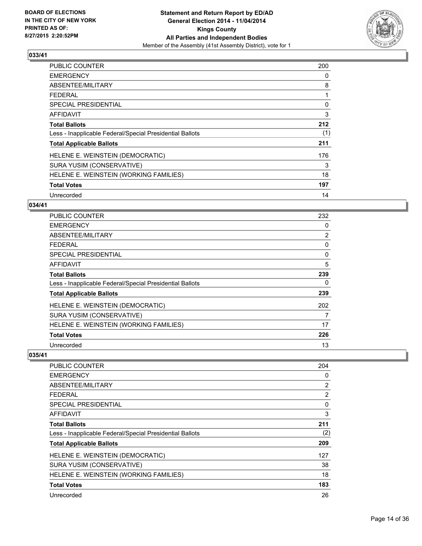

| <b>PUBLIC COUNTER</b>                                    | 200 |
|----------------------------------------------------------|-----|
| <b>EMERGENCY</b>                                         | 0   |
| ABSENTEE/MILITARY                                        | 8   |
| <b>FEDERAL</b>                                           | 1   |
| <b>SPECIAL PRESIDENTIAL</b>                              | 0   |
| <b>AFFIDAVIT</b>                                         | 3   |
| <b>Total Ballots</b>                                     | 212 |
| Less - Inapplicable Federal/Special Presidential Ballots | (1) |
| <b>Total Applicable Ballots</b>                          | 211 |
| HELENE E. WEINSTEIN (DEMOCRATIC)                         | 176 |
| SURA YUSIM (CONSERVATIVE)                                | 3   |
| HELENE E. WEINSTEIN (WORKING FAMILIES)                   | 18  |
| <b>Total Votes</b>                                       | 197 |
| Unrecorded                                               | 14  |

## **034/41**

| PUBLIC COUNTER                                           | 232 |
|----------------------------------------------------------|-----|
| <b>EMERGENCY</b>                                         | 0   |
| ABSENTEE/MILITARY                                        | 2   |
| <b>FEDERAL</b>                                           | 0   |
| <b>SPECIAL PRESIDENTIAL</b>                              | 0   |
| <b>AFFIDAVIT</b>                                         | 5   |
| <b>Total Ballots</b>                                     | 239 |
| Less - Inapplicable Federal/Special Presidential Ballots | 0   |
| <b>Total Applicable Ballots</b>                          | 239 |
| HELENE E. WEINSTEIN (DEMOCRATIC)                         | 202 |
| SURA YUSIM (CONSERVATIVE)                                | 7   |
| HELENE E. WEINSTEIN (WORKING FAMILIES)                   | 17  |
| <b>Total Votes</b>                                       | 226 |
| Unrecorded                                               | 13  |

| 204            |
|----------------|
| 0              |
| 2              |
| $\overline{2}$ |
| 0              |
| 3              |
| 211            |
| (2)            |
| 209            |
| 127            |
| 38             |
| 18             |
| 183            |
| 26             |
|                |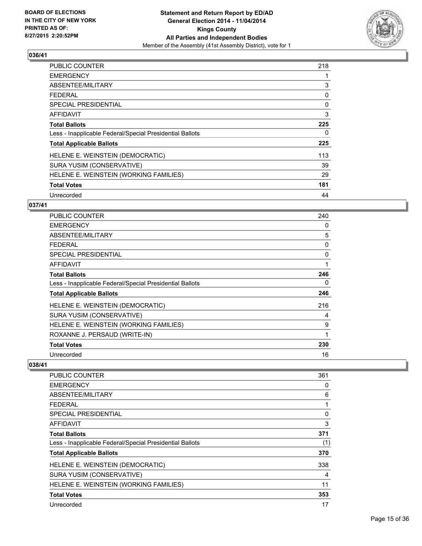

| <b>PUBLIC COUNTER</b>                                    | 218 |
|----------------------------------------------------------|-----|
| <b>EMERGENCY</b>                                         |     |
| ABSENTEE/MILITARY                                        | 3   |
| <b>FEDERAL</b>                                           | 0   |
| SPECIAL PRESIDENTIAL                                     | 0   |
| AFFIDAVIT                                                | 3   |
| <b>Total Ballots</b>                                     | 225 |
| Less - Inapplicable Federal/Special Presidential Ballots | 0   |
| <b>Total Applicable Ballots</b>                          | 225 |
| HELENE E. WEINSTEIN (DEMOCRATIC)                         | 113 |
| SURA YUSIM (CONSERVATIVE)                                | 39  |
| HELENE E. WEINSTEIN (WORKING FAMILIES)                   | 29  |
| <b>Total Votes</b>                                       | 181 |
| Unrecorded                                               | 44  |

# **037/41**

| PUBLIC COUNTER                                           | 240 |
|----------------------------------------------------------|-----|
| <b>EMERGENCY</b>                                         | 0   |
| ABSENTEE/MILITARY                                        | 5   |
| FEDERAL                                                  | 0   |
| <b>SPECIAL PRESIDENTIAL</b>                              | 0   |
| AFFIDAVIT                                                | 1   |
| <b>Total Ballots</b>                                     | 246 |
| Less - Inapplicable Federal/Special Presidential Ballots | 0   |
| <b>Total Applicable Ballots</b>                          | 246 |
| HELENE E. WEINSTEIN (DEMOCRATIC)                         | 216 |
| SURA YUSIM (CONSERVATIVE)                                | 4   |
| HELENE E. WEINSTEIN (WORKING FAMILIES)                   | 9   |
| ROXANNE J. PERSAUD (WRITE-IN)                            | 1   |
| <b>Total Votes</b>                                       | 230 |
| Unrecorded                                               | 16  |

| <b>PUBLIC COUNTER</b>                                    | 361 |
|----------------------------------------------------------|-----|
| <b>EMERGENCY</b>                                         | 0   |
| ABSENTEE/MILITARY                                        | 6   |
| FEDERAL                                                  | 1   |
| <b>SPECIAL PRESIDENTIAL</b>                              | 0   |
| AFFIDAVIT                                                | 3   |
| <b>Total Ballots</b>                                     | 371 |
| Less - Inapplicable Federal/Special Presidential Ballots | (1) |
| <b>Total Applicable Ballots</b>                          | 370 |
| HELENE E. WEINSTEIN (DEMOCRATIC)                         | 338 |
| SURA YUSIM (CONSERVATIVE)                                | 4   |
| HELENE E. WEINSTEIN (WORKING FAMILIES)                   | 11  |
| <b>Total Votes</b>                                       | 353 |
| Unrecorded                                               | 17  |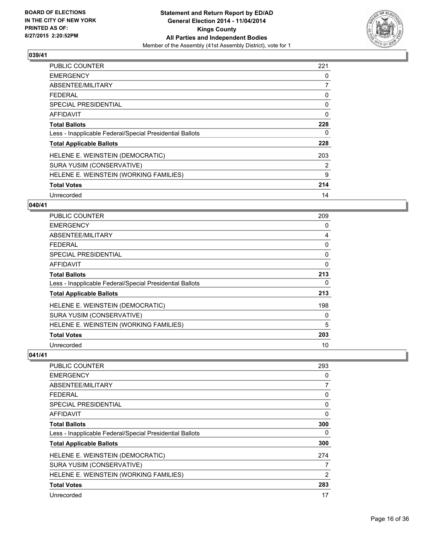

| <b>PUBLIC COUNTER</b>                                    | 221 |
|----------------------------------------------------------|-----|
| <b>EMERGENCY</b>                                         | 0   |
| ABSENTEE/MILITARY                                        | 7   |
| <b>FEDERAL</b>                                           | 0   |
| SPECIAL PRESIDENTIAL                                     | 0   |
| <b>AFFIDAVIT</b>                                         | 0   |
| <b>Total Ballots</b>                                     | 228 |
| Less - Inapplicable Federal/Special Presidential Ballots | 0   |
| <b>Total Applicable Ballots</b>                          | 228 |
| HELENE E. WEINSTEIN (DEMOCRATIC)                         | 203 |
| SURA YUSIM (CONSERVATIVE)                                | 2   |
| HELENE E. WEINSTEIN (WORKING FAMILIES)                   | 9   |
| <b>Total Votes</b>                                       | 214 |
| Unrecorded                                               | 14  |

# **040/41**

| <b>PUBLIC COUNTER</b>                                    | 209      |
|----------------------------------------------------------|----------|
| <b>EMERGENCY</b>                                         | 0        |
| ABSENTEE/MILITARY                                        | 4        |
| <b>FEDERAL</b>                                           | 0        |
| <b>SPECIAL PRESIDENTIAL</b>                              | 0        |
| <b>AFFIDAVIT</b>                                         | $\Omega$ |
| <b>Total Ballots</b>                                     | 213      |
| Less - Inapplicable Federal/Special Presidential Ballots | 0        |
| <b>Total Applicable Ballots</b>                          | 213      |
| HELENE E. WEINSTEIN (DEMOCRATIC)                         | 198      |
| SURA YUSIM (CONSERVATIVE)                                | 0        |
| HELENE E. WEINSTEIN (WORKING FAMILIES)                   | 5        |
| <b>Total Votes</b>                                       | 203      |
| Unrecorded                                               | 10       |

| 293            |
|----------------|
| 0              |
| $\overline{7}$ |
| 0              |
| 0              |
| 0              |
| 300            |
| 0              |
| 300            |
| 274            |
| 7              |
| 2              |
| 283            |
| 17             |
|                |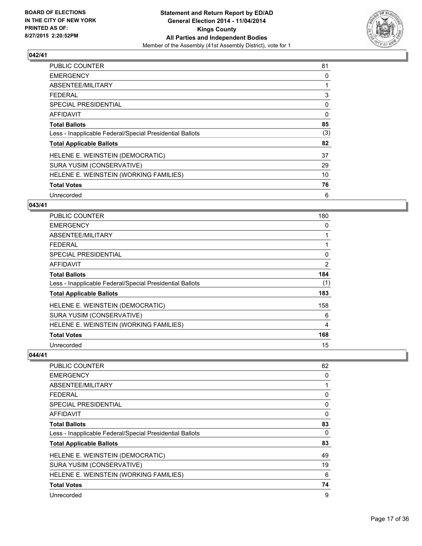

| <b>PUBLIC COUNTER</b>                                    | 81  |
|----------------------------------------------------------|-----|
| <b>EMERGENCY</b>                                         | 0   |
| ABSENTEE/MILITARY                                        | 1   |
| <b>FEDERAL</b>                                           | 3   |
| <b>SPECIAL PRESIDENTIAL</b>                              | 0   |
| AFFIDAVIT                                                | 0   |
| <b>Total Ballots</b>                                     | 85  |
| Less - Inapplicable Federal/Special Presidential Ballots | (3) |
| <b>Total Applicable Ballots</b>                          | 82  |
| HELENE E. WEINSTEIN (DEMOCRATIC)                         | 37  |
| SURA YUSIM (CONSERVATIVE)                                | 29  |
| HELENE E. WEINSTEIN (WORKING FAMILIES)                   | 10  |
| <b>Total Votes</b>                                       | 76  |
| Unrecorded                                               | 6   |

#### **043/41**

| PUBLIC COUNTER                                           | 180            |
|----------------------------------------------------------|----------------|
| <b>EMERGENCY</b>                                         | 0              |
| ABSENTEE/MILITARY                                        | 1              |
| <b>FEDERAL</b>                                           |                |
| <b>SPECIAL PRESIDENTIAL</b>                              | 0              |
| AFFIDAVIT                                                | $\overline{2}$ |
| <b>Total Ballots</b>                                     | 184            |
| Less - Inapplicable Federal/Special Presidential Ballots | (1)            |
| <b>Total Applicable Ballots</b>                          | 183            |
| HELENE E. WEINSTEIN (DEMOCRATIC)                         | 158            |
| SURA YUSIM (CONSERVATIVE)                                | 6              |
| HELENE E. WEINSTEIN (WORKING FAMILIES)                   | 4              |
| <b>Total Votes</b>                                       | 168            |
| Unrecorded                                               | 15             |

| <b>PUBLIC COUNTER</b>                                    | 82 |
|----------------------------------------------------------|----|
| <b>EMERGENCY</b>                                         | 0  |
| ABSENTEE/MILITARY                                        |    |
| <b>FEDERAL</b>                                           | 0  |
| SPECIAL PRESIDENTIAL                                     | 0  |
| <b>AFFIDAVIT</b>                                         | 0  |
| <b>Total Ballots</b>                                     | 83 |
| Less - Inapplicable Federal/Special Presidential Ballots | 0  |
| <b>Total Applicable Ballots</b>                          | 83 |
| HELENE E. WEINSTEIN (DEMOCRATIC)                         | 49 |
| SURA YUSIM (CONSERVATIVE)                                | 19 |
| HELENE E. WEINSTEIN (WORKING FAMILIES)                   | 6  |
| <b>Total Votes</b>                                       | 74 |
| Unrecorded                                               | 9  |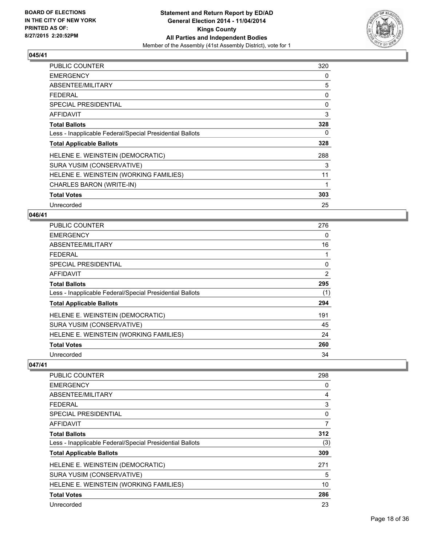

| <b>PUBLIC COUNTER</b>                                    | 320 |
|----------------------------------------------------------|-----|
| <b>EMERGENCY</b>                                         | 0   |
| ABSENTEE/MILITARY                                        | 5   |
| <b>FEDERAL</b>                                           | 0   |
| <b>SPECIAL PRESIDENTIAL</b>                              | 0   |
| AFFIDAVIT                                                | 3   |
| <b>Total Ballots</b>                                     | 328 |
| Less - Inapplicable Federal/Special Presidential Ballots | 0   |
| <b>Total Applicable Ballots</b>                          | 328 |
| HELENE E. WEINSTEIN (DEMOCRATIC)                         | 288 |
| SURA YUSIM (CONSERVATIVE)                                | 3   |
| HELENE E. WEINSTEIN (WORKING FAMILIES)                   | 11  |
| CHARLES BARON (WRITE-IN)                                 | 1   |
| <b>Total Votes</b>                                       | 303 |
| Unrecorded                                               | 25  |

#### **046/41**

| <b>PUBLIC COUNTER</b>                                    | 276 |
|----------------------------------------------------------|-----|
| <b>EMERGENCY</b>                                         | 0   |
| ABSENTEE/MILITARY                                        | 16  |
| <b>FEDERAL</b>                                           |     |
| SPECIAL PRESIDENTIAL                                     | 0   |
| <b>AFFIDAVIT</b>                                         | 2   |
| <b>Total Ballots</b>                                     | 295 |
| Less - Inapplicable Federal/Special Presidential Ballots | (1) |
| <b>Total Applicable Ballots</b>                          | 294 |
| HELENE E. WEINSTEIN (DEMOCRATIC)                         | 191 |
| SURA YUSIM (CONSERVATIVE)                                | 45  |
| HELENE E. WEINSTEIN (WORKING FAMILIES)                   | 24  |
| <b>Total Votes</b>                                       | 260 |
| Unrecorded                                               | 34  |

| <b>PUBLIC COUNTER</b>                                    | 298 |
|----------------------------------------------------------|-----|
| <b>EMERGENCY</b>                                         | 0   |
| ABSENTEE/MILITARY                                        | 4   |
| FEDERAL                                                  | 3   |
| SPECIAL PRESIDENTIAL                                     | 0   |
| AFFIDAVIT                                                | 7   |
| <b>Total Ballots</b>                                     | 312 |
| Less - Inapplicable Federal/Special Presidential Ballots | (3) |
| <b>Total Applicable Ballots</b>                          | 309 |
| HELENE E. WEINSTEIN (DEMOCRATIC)                         | 271 |
| SURA YUSIM (CONSERVATIVE)                                | 5   |
| HELENE E. WEINSTEIN (WORKING FAMILIES)                   | 10  |
| <b>Total Votes</b>                                       | 286 |
| Unrecorded                                               | 23  |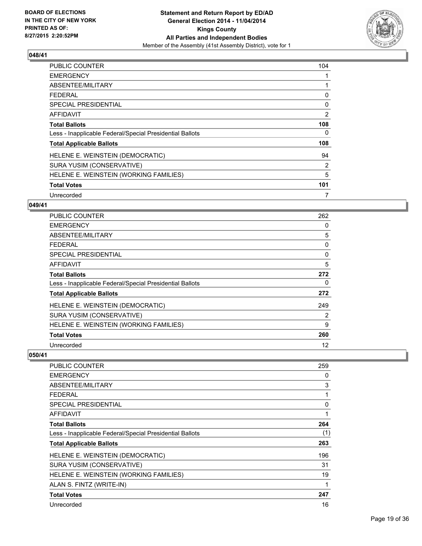

| <b>PUBLIC COUNTER</b>                                    | 104 |
|----------------------------------------------------------|-----|
| <b>EMERGENCY</b>                                         |     |
| ABSENTEE/MILITARY                                        |     |
| <b>FEDERAL</b>                                           | 0   |
| <b>SPECIAL PRESIDENTIAL</b>                              | 0   |
| <b>AFFIDAVIT</b>                                         | 2   |
| <b>Total Ballots</b>                                     | 108 |
| Less - Inapplicable Federal/Special Presidential Ballots | 0   |
| <b>Total Applicable Ballots</b>                          | 108 |
| HELENE E. WEINSTEIN (DEMOCRATIC)                         | 94  |
| SURA YUSIM (CONSERVATIVE)                                | 2   |
| HELENE E. WEINSTEIN (WORKING FAMILIES)                   | 5   |
| <b>Total Votes</b>                                       | 101 |
| Unrecorded                                               | 7   |

# **049/41**

| <b>PUBLIC COUNTER</b>                                    | 262      |
|----------------------------------------------------------|----------|
| <b>EMERGENCY</b>                                         | 0        |
| ABSENTEE/MILITARY                                        | 5        |
| <b>FEDERAL</b>                                           | 0        |
| <b>SPECIAL PRESIDENTIAL</b>                              | $\Omega$ |
| <b>AFFIDAVIT</b>                                         | 5        |
| <b>Total Ballots</b>                                     | 272      |
| Less - Inapplicable Federal/Special Presidential Ballots | 0        |
| <b>Total Applicable Ballots</b>                          | 272      |
| HELENE E. WEINSTEIN (DEMOCRATIC)                         | 249      |
| SURA YUSIM (CONSERVATIVE)                                | 2        |
| HELENE E. WEINSTEIN (WORKING FAMILIES)                   | 9        |
| <b>Total Votes</b>                                       | 260      |
| Unrecorded                                               | 12       |

| <b>PUBLIC COUNTER</b>                                    | 259 |
|----------------------------------------------------------|-----|
| <b>EMERGENCY</b>                                         | 0   |
| ABSENTEE/MILITARY                                        | 3   |
| <b>FFDFRAL</b>                                           | 1   |
| SPECIAL PRESIDENTIAL                                     | 0   |
| AFFIDAVIT                                                | 1   |
| <b>Total Ballots</b>                                     | 264 |
| Less - Inapplicable Federal/Special Presidential Ballots | (1) |
| <b>Total Applicable Ballots</b>                          | 263 |
| HELENE E. WEINSTEIN (DEMOCRATIC)                         | 196 |
| SURA YUSIM (CONSERVATIVE)                                | 31  |
| HELENE E. WEINSTEIN (WORKING FAMILIES)                   | 19  |
| ALAN S. FINTZ (WRITE-IN)                                 | 1   |
| <b>Total Votes</b>                                       | 247 |
| Unrecorded                                               | 16  |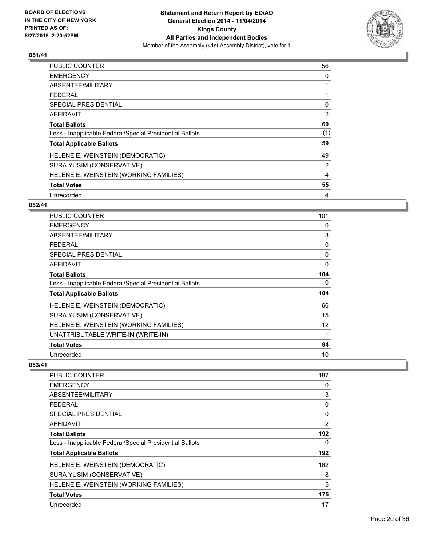

| <b>PUBLIC COUNTER</b>                                    | 56  |
|----------------------------------------------------------|-----|
| <b>EMERGENCY</b>                                         | 0   |
| ABSENTEE/MILITARY                                        |     |
| <b>FEDERAL</b>                                           |     |
| SPECIAL PRESIDENTIAL                                     | 0   |
| <b>AFFIDAVIT</b>                                         | 2   |
| <b>Total Ballots</b>                                     | 60  |
| Less - Inapplicable Federal/Special Presidential Ballots | (1) |
| <b>Total Applicable Ballots</b>                          | 59  |
| HELENE E. WEINSTEIN (DEMOCRATIC)                         | 49  |
| SURA YUSIM (CONSERVATIVE)                                | 2   |
| HELENE E. WEINSTEIN (WORKING FAMILIES)                   | 4   |
| <b>Total Votes</b>                                       | 55  |
| Unrecorded                                               | 4   |

## **052/41**

| PUBLIC COUNTER                                           | 101 |
|----------------------------------------------------------|-----|
| <b>EMERGENCY</b>                                         | 0   |
| ABSENTEE/MILITARY                                        | 3   |
| <b>FEDERAL</b>                                           | 0   |
| <b>SPECIAL PRESIDENTIAL</b>                              | 0   |
| AFFIDAVIT                                                | 0   |
| Total Ballots                                            | 104 |
| Less - Inapplicable Federal/Special Presidential Ballots | 0   |
| <b>Total Applicable Ballots</b>                          | 104 |
| HELENE E. WEINSTEIN (DEMOCRATIC)                         | 66  |
| SURA YUSIM (CONSERVATIVE)                                | 15  |
| HELENE E. WEINSTEIN (WORKING FAMILIES)                   | 12  |
| UNATTRIBUTABLE WRITE-IN (WRITE-IN)                       | 1   |
| <b>Total Votes</b>                                       | 94  |
| Unrecorded                                               | 10  |

| <b>PUBLIC COUNTER</b>                                    | 187            |
|----------------------------------------------------------|----------------|
| <b>EMERGENCY</b>                                         | 0              |
| ABSENTEE/MILITARY                                        | 3              |
| <b>FEDERAL</b>                                           | 0              |
| <b>SPECIAL PRESIDENTIAL</b>                              | 0              |
| <b>AFFIDAVIT</b>                                         | $\overline{2}$ |
| <b>Total Ballots</b>                                     | 192            |
| Less - Inapplicable Federal/Special Presidential Ballots | 0              |
| <b>Total Applicable Ballots</b>                          | 192            |
| HELENE E. WEINSTEIN (DEMOCRATIC)                         | 162            |
| SURA YUSIM (CONSERVATIVE)                                | 8              |
| HELENE E. WEINSTEIN (WORKING FAMILIES)                   | 5              |
| <b>Total Votes</b>                                       | 175            |
| Unrecorded                                               | 17             |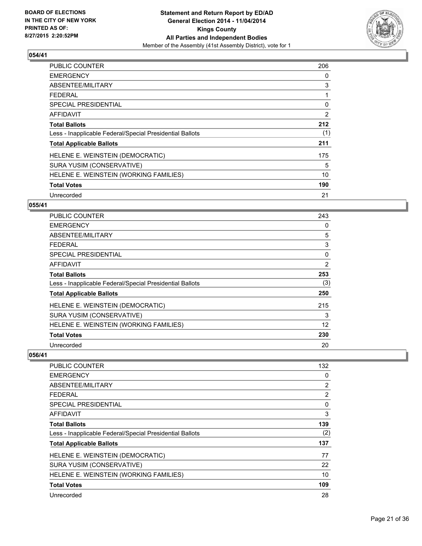

| <b>PUBLIC COUNTER</b>                                    | 206 |
|----------------------------------------------------------|-----|
| <b>EMERGENCY</b>                                         | 0   |
| ABSENTEE/MILITARY                                        | 3   |
| FFDFRAI                                                  | 1   |
| SPECIAL PRESIDENTIAL                                     | 0   |
| <b>AFFIDAVIT</b>                                         | 2   |
| <b>Total Ballots</b>                                     | 212 |
| Less - Inapplicable Federal/Special Presidential Ballots | (1) |
| <b>Total Applicable Ballots</b>                          | 211 |
| HELENE E. WEINSTEIN (DEMOCRATIC)                         | 175 |
| SURA YUSIM (CONSERVATIVE)                                | 5   |
| HELENE E. WEINSTEIN (WORKING FAMILIES)                   | 10  |
| <b>Total Votes</b>                                       | 190 |
| Unrecorded                                               | 21  |

## **055/41**

| <b>PUBLIC COUNTER</b>                                    | 243 |
|----------------------------------------------------------|-----|
| <b>EMERGENCY</b>                                         | 0   |
| ABSENTEE/MILITARY                                        | 5   |
| <b>FEDERAL</b>                                           | 3   |
| <b>SPECIAL PRESIDENTIAL</b>                              | 0   |
| AFFIDAVIT                                                | 2   |
| <b>Total Ballots</b>                                     | 253 |
| Less - Inapplicable Federal/Special Presidential Ballots | (3) |
| <b>Total Applicable Ballots</b>                          | 250 |
| HELENE E. WEINSTEIN (DEMOCRATIC)                         | 215 |
| SURA YUSIM (CONSERVATIVE)                                | 3   |
| HELENE E. WEINSTEIN (WORKING FAMILIES)                   | 12  |
| <b>Total Votes</b>                                       | 230 |
| Unrecorded                                               | 20  |

| PUBLIC COUNTER                                           | 132 |
|----------------------------------------------------------|-----|
| <b>EMERGENCY</b>                                         | 0   |
| ABSENTEE/MILITARY                                        | 2   |
| <b>FEDERAL</b>                                           | 2   |
| SPECIAL PRESIDENTIAL                                     | 0   |
| AFFIDAVIT                                                | 3   |
| <b>Total Ballots</b>                                     | 139 |
| Less - Inapplicable Federal/Special Presidential Ballots | (2) |
| <b>Total Applicable Ballots</b>                          | 137 |
| HELENE E. WEINSTEIN (DEMOCRATIC)                         | 77  |
| SURA YUSIM (CONSERVATIVE)                                | 22  |
| HELENE E. WEINSTEIN (WORKING FAMILIES)                   | 10  |
| <b>Total Votes</b>                                       | 109 |
| Unrecorded                                               | 28  |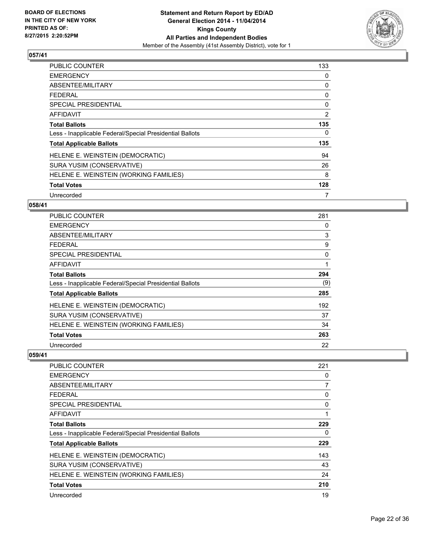

| <b>PUBLIC COUNTER</b>                                    | 133 |
|----------------------------------------------------------|-----|
| <b>EMERGENCY</b>                                         | 0   |
| ABSENTEE/MILITARY                                        | 0   |
| <b>FEDERAL</b>                                           | 0   |
| SPECIAL PRESIDENTIAL                                     | 0   |
| AFFIDAVIT                                                | 2   |
| <b>Total Ballots</b>                                     | 135 |
| Less - Inapplicable Federal/Special Presidential Ballots | 0   |
| <b>Total Applicable Ballots</b>                          | 135 |
| HELENE E. WEINSTEIN (DEMOCRATIC)                         | 94  |
| SURA YUSIM (CONSERVATIVE)                                | 26  |
| HELENE E. WEINSTEIN (WORKING FAMILIES)                   | 8   |
| <b>Total Votes</b>                                       | 128 |
| Unrecorded                                               | 7   |

# **058/41**

| <b>PUBLIC COUNTER</b>                                    | 281 |
|----------------------------------------------------------|-----|
| <b>EMERGENCY</b>                                         | 0   |
| ABSENTEE/MILITARY                                        | 3   |
| <b>FEDERAL</b>                                           | 9   |
| <b>SPECIAL PRESIDENTIAL</b>                              | 0   |
| <b>AFFIDAVIT</b>                                         | 1   |
| <b>Total Ballots</b>                                     | 294 |
| Less - Inapplicable Federal/Special Presidential Ballots | (9) |
| <b>Total Applicable Ballots</b>                          | 285 |
| HELENE E. WEINSTEIN (DEMOCRATIC)                         | 192 |
| SURA YUSIM (CONSERVATIVE)                                | 37  |
| HELENE E. WEINSTEIN (WORKING FAMILIES)                   | 34  |
| <b>Total Votes</b>                                       | 263 |
| Unrecorded                                               | 22  |

| PUBLIC COUNTER                                           | 221 |
|----------------------------------------------------------|-----|
| <b>EMERGENCY</b>                                         | 0   |
| ABSENTEE/MILITARY                                        | 7   |
| <b>FEDERAL</b>                                           | 0   |
| SPECIAL PRESIDENTIAL                                     | 0   |
| AFFIDAVIT                                                |     |
| <b>Total Ballots</b>                                     | 229 |
| Less - Inapplicable Federal/Special Presidential Ballots | 0   |
| <b>Total Applicable Ballots</b>                          | 229 |
| HELENE E. WEINSTEIN (DEMOCRATIC)                         | 143 |
| SURA YUSIM (CONSERVATIVE)                                | 43  |
| HELENE E. WEINSTEIN (WORKING FAMILIES)                   | 24  |
| <b>Total Votes</b>                                       | 210 |
| Unrecorded                                               | 19  |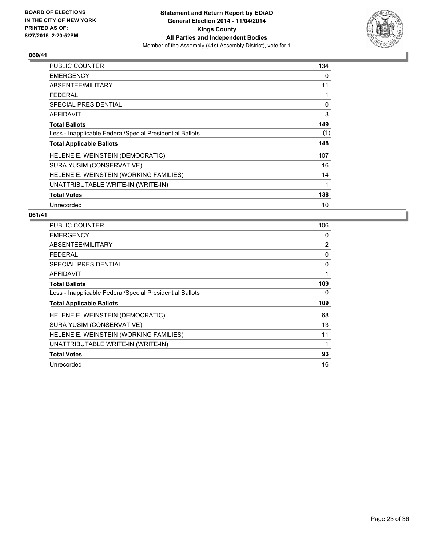

| PUBLIC COUNTER                                           | 134 |
|----------------------------------------------------------|-----|
| <b>EMERGENCY</b>                                         | 0   |
| ABSENTEE/MILITARY                                        | 11  |
| <b>FEDERAL</b>                                           | 1   |
| <b>SPECIAL PRESIDENTIAL</b>                              | 0   |
| <b>AFFIDAVIT</b>                                         | 3   |
| <b>Total Ballots</b>                                     | 149 |
| Less - Inapplicable Federal/Special Presidential Ballots | (1) |
| <b>Total Applicable Ballots</b>                          | 148 |
| HELENE E. WEINSTEIN (DEMOCRATIC)                         | 107 |
| SURA YUSIM (CONSERVATIVE)                                | 16  |
| HELENE E. WEINSTEIN (WORKING FAMILIES)                   | 14  |
| UNATTRIBUTABLE WRITE-IN (WRITE-IN)                       | 1   |
| <b>Total Votes</b>                                       | 138 |
| Unrecorded                                               | 10  |

| <b>PUBLIC COUNTER</b>                                    | 106 |
|----------------------------------------------------------|-----|
| <b>EMERGENCY</b>                                         | 0   |
| ABSENTEE/MILITARY                                        | 2   |
| <b>FEDERAL</b>                                           | 0   |
| SPECIAL PRESIDENTIAL                                     | 0   |
| AFFIDAVIT                                                | 1   |
| <b>Total Ballots</b>                                     | 109 |
| Less - Inapplicable Federal/Special Presidential Ballots | 0   |
| <b>Total Applicable Ballots</b>                          | 109 |
| HELENE E. WEINSTEIN (DEMOCRATIC)                         | 68  |
| SURA YUSIM (CONSERVATIVE)                                | 13  |
| HELENE E. WEINSTEIN (WORKING FAMILIES)                   | 11  |
| UNATTRIBUTABLE WRITE-IN (WRITE-IN)                       | 1   |
| <b>Total Votes</b>                                       | 93  |
| Unrecorded                                               | 16  |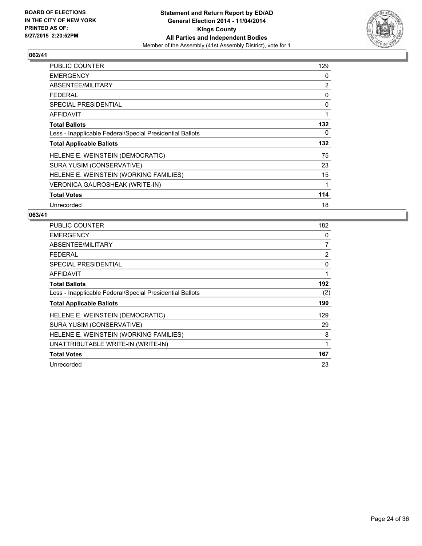

| <b>PUBLIC COUNTER</b>                                    | 129 |
|----------------------------------------------------------|-----|
| <b>EMERGENCY</b>                                         | 0   |
| ABSENTEE/MILITARY                                        | 2   |
| <b>FEDERAL</b>                                           | 0   |
| <b>SPECIAL PRESIDENTIAL</b>                              | 0   |
| <b>AFFIDAVIT</b>                                         | 1   |
| <b>Total Ballots</b>                                     | 132 |
| Less - Inapplicable Federal/Special Presidential Ballots | 0   |
| <b>Total Applicable Ballots</b>                          | 132 |
| HELENE E. WEINSTEIN (DEMOCRATIC)                         | 75  |
| SURA YUSIM (CONSERVATIVE)                                | 23  |
| HELENE E. WEINSTEIN (WORKING FAMILIES)                   | 15  |
| VERONICA GAUROSHEAK (WRITE-IN)                           | 1   |
| <b>Total Votes</b>                                       | 114 |
| Unrecorded                                               | 18  |

| <b>PUBLIC COUNTER</b>                                    | 182 |
|----------------------------------------------------------|-----|
| <b>EMERGENCY</b>                                         | 0   |
| ABSENTEE/MILITARY                                        | 7   |
| <b>FEDERAL</b>                                           | 2   |
| SPECIAL PRESIDENTIAL                                     | 0   |
| <b>AFFIDAVIT</b>                                         | 1   |
| <b>Total Ballots</b>                                     | 192 |
| Less - Inapplicable Federal/Special Presidential Ballots | (2) |
| <b>Total Applicable Ballots</b>                          | 190 |
| HELENE E. WEINSTEIN (DEMOCRATIC)                         | 129 |
| SURA YUSIM (CONSERVATIVE)                                | 29  |
| HELENE E. WEINSTEIN (WORKING FAMILIES)                   | 8   |
| UNATTRIBUTABLE WRITE-IN (WRITE-IN)                       | 1   |
| <b>Total Votes</b>                                       | 167 |
| Unrecorded                                               | 23  |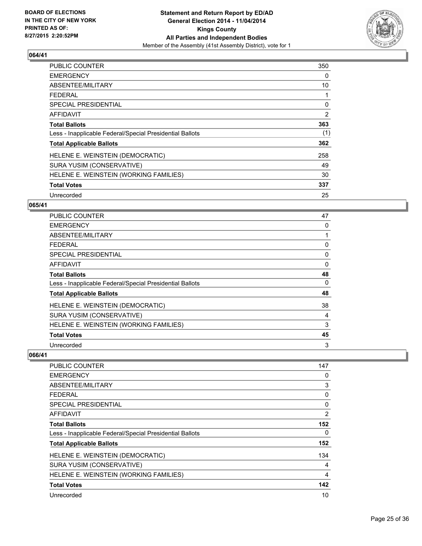

| <b>PUBLIC COUNTER</b>                                    | 350 |
|----------------------------------------------------------|-----|
| <b>EMERGENCY</b>                                         | 0   |
| ABSENTEE/MILITARY                                        | 10  |
| <b>FEDERAL</b>                                           | 1   |
| <b>SPECIAL PRESIDENTIAL</b>                              | 0   |
| AFFIDAVIT                                                | 2   |
| <b>Total Ballots</b>                                     | 363 |
| Less - Inapplicable Federal/Special Presidential Ballots | (1) |
| <b>Total Applicable Ballots</b>                          | 362 |
| HELENE E. WEINSTEIN (DEMOCRATIC)                         | 258 |
| SURA YUSIM (CONSERVATIVE)                                | 49  |
| HELENE E. WEINSTEIN (WORKING FAMILIES)                   | 30  |
| <b>Total Votes</b>                                       | 337 |
| Unrecorded                                               | 25  |

# **065/41**

| <b>PUBLIC COUNTER</b>                                    | 47       |
|----------------------------------------------------------|----------|
| <b>EMERGENCY</b>                                         | 0        |
| ABSENTEE/MILITARY                                        |          |
| <b>FEDERAL</b>                                           | 0        |
| <b>SPECIAL PRESIDENTIAL</b>                              | 0        |
| <b>AFFIDAVIT</b>                                         | 0        |
| <b>Total Ballots</b>                                     | 48       |
| Less - Inapplicable Federal/Special Presidential Ballots | $\Omega$ |
| <b>Total Applicable Ballots</b>                          | 48       |
| HELENE E. WEINSTEIN (DEMOCRATIC)                         | 38       |
| SURA YUSIM (CONSERVATIVE)                                | 4        |
| HELENE E. WEINSTEIN (WORKING FAMILIES)                   | 3        |
| <b>Total Votes</b>                                       | 45       |
| Unrecorded                                               | 3        |

| <b>PUBLIC COUNTER</b>                                    | 147 |
|----------------------------------------------------------|-----|
| <b>EMERGENCY</b>                                         | 0   |
| ABSENTEE/MILITARY                                        | 3   |
| <b>FEDERAL</b>                                           | 0   |
| SPECIAL PRESIDENTIAL                                     | 0   |
| AFFIDAVIT                                                | 2   |
| <b>Total Ballots</b>                                     | 152 |
| Less - Inapplicable Federal/Special Presidential Ballots | 0   |
| <b>Total Applicable Ballots</b>                          | 152 |
| HELENE E. WEINSTEIN (DEMOCRATIC)                         | 134 |
| SURA YUSIM (CONSERVATIVE)                                | 4   |
| HELENE E. WEINSTEIN (WORKING FAMILIES)                   | 4   |
| <b>Total Votes</b>                                       | 142 |
| Unrecorded                                               | 10  |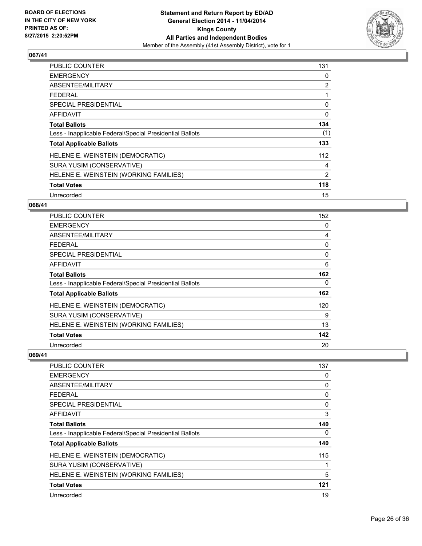

| <b>PUBLIC COUNTER</b>                                    | 131 |
|----------------------------------------------------------|-----|
| <b>EMERGENCY</b>                                         | 0   |
| ABSENTEE/MILITARY                                        | 2   |
| <b>FEDERAL</b>                                           | 1   |
| SPECIAL PRESIDENTIAL                                     | 0   |
| AFFIDAVIT                                                | 0   |
| <b>Total Ballots</b>                                     | 134 |
| Less - Inapplicable Federal/Special Presidential Ballots | (1) |
| <b>Total Applicable Ballots</b>                          | 133 |
| HELENE E. WEINSTEIN (DEMOCRATIC)                         | 112 |
| SURA YUSIM (CONSERVATIVE)                                | 4   |
| HELENE E. WEINSTEIN (WORKING FAMILIES)                   | 2   |
| <b>Total Votes</b>                                       | 118 |
| Unrecorded                                               | 15  |

# **068/41**

| PUBLIC COUNTER                                           | 152 |
|----------------------------------------------------------|-----|
| <b>EMERGENCY</b>                                         | 0   |
| ABSENTEE/MILITARY                                        | 4   |
| <b>FEDERAL</b>                                           | 0   |
| <b>SPECIAL PRESIDENTIAL</b>                              | 0   |
| AFFIDAVIT                                                | 6   |
| <b>Total Ballots</b>                                     | 162 |
| Less - Inapplicable Federal/Special Presidential Ballots | 0   |
| <b>Total Applicable Ballots</b>                          | 162 |
| HELENE E. WEINSTEIN (DEMOCRATIC)                         | 120 |
| SURA YUSIM (CONSERVATIVE)                                | 9   |
| HELENE E. WEINSTEIN (WORKING FAMILIES)                   | 13  |
| <b>Total Votes</b>                                       | 142 |
| Unrecorded                                               | 20  |

| <b>PUBLIC COUNTER</b>                                    | 137 |
|----------------------------------------------------------|-----|
| <b>EMERGENCY</b>                                         | 0   |
| ABSENTEE/MILITARY                                        | 0   |
| <b>FEDERAL</b>                                           | 0   |
| SPECIAL PRESIDENTIAL                                     | 0   |
| AFFIDAVIT                                                | 3   |
| <b>Total Ballots</b>                                     | 140 |
| Less - Inapplicable Federal/Special Presidential Ballots | 0   |
| <b>Total Applicable Ballots</b>                          | 140 |
| HELENE E. WEINSTEIN (DEMOCRATIC)                         | 115 |
| SURA YUSIM (CONSERVATIVE)                                |     |
| HELENE E. WEINSTEIN (WORKING FAMILIES)                   | 5   |
| <b>Total Votes</b>                                       | 121 |
| Unrecorded                                               | 19  |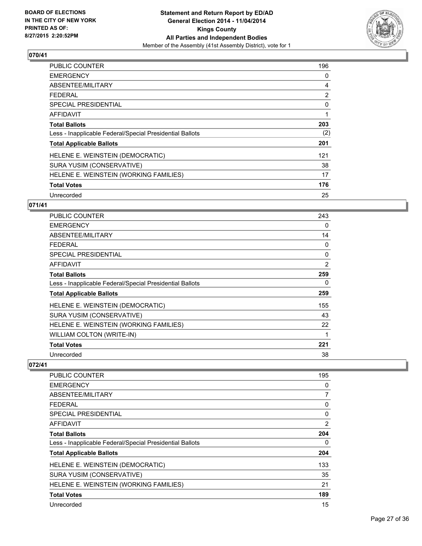

| <b>PUBLIC COUNTER</b>                                    | 196 |
|----------------------------------------------------------|-----|
| <b>EMERGENCY</b>                                         | 0   |
| ABSENTEE/MILITARY                                        | 4   |
| <b>FEDERAL</b>                                           | 2   |
| SPECIAL PRESIDENTIAL                                     | 0   |
| <b>AFFIDAVIT</b>                                         | 1   |
| <b>Total Ballots</b>                                     | 203 |
| Less - Inapplicable Federal/Special Presidential Ballots | (2) |
| <b>Total Applicable Ballots</b>                          | 201 |
| HELENE E. WEINSTEIN (DEMOCRATIC)                         | 121 |
| SURA YUSIM (CONSERVATIVE)                                | 38  |
| HELENE E. WEINSTEIN (WORKING FAMILIES)                   | 17  |
| <b>Total Votes</b>                                       | 176 |
| Unrecorded                                               | 25  |

# **071/41**

| <b>PUBLIC COUNTER</b>                                    | 243 |
|----------------------------------------------------------|-----|
| <b>EMERGENCY</b>                                         | 0   |
| ABSENTEE/MILITARY                                        | 14  |
| <b>FEDERAL</b>                                           | 0   |
| <b>SPECIAL PRESIDENTIAL</b>                              | 0   |
| AFFIDAVIT                                                | 2   |
| <b>Total Ballots</b>                                     | 259 |
| Less - Inapplicable Federal/Special Presidential Ballots | 0   |
| <b>Total Applicable Ballots</b>                          | 259 |
| HELENE E. WEINSTEIN (DEMOCRATIC)                         | 155 |
| SURA YUSIM (CONSERVATIVE)                                | 43  |
| HELENE E. WEINSTEIN (WORKING FAMILIES)                   | 22  |
| <b>WILLIAM COLTON (WRITE-IN)</b>                         | 1   |
| <b>Total Votes</b>                                       | 221 |
| Unrecorded                                               | 38  |

| <b>PUBLIC COUNTER</b>                                    | 195 |
|----------------------------------------------------------|-----|
| <b>EMERGENCY</b>                                         | 0   |
| ABSENTEE/MILITARY                                        | 7   |
| <b>FEDERAL</b>                                           | 0   |
| SPECIAL PRESIDENTIAL                                     | 0   |
| AFFIDAVIT                                                | 2   |
| <b>Total Ballots</b>                                     | 204 |
| Less - Inapplicable Federal/Special Presidential Ballots | 0   |
| <b>Total Applicable Ballots</b>                          | 204 |
| HELENE E. WEINSTEIN (DEMOCRATIC)                         | 133 |
| SURA YUSIM (CONSERVATIVE)                                | 35  |
| HELENE E. WEINSTEIN (WORKING FAMILIES)                   | 21  |
| <b>Total Votes</b>                                       | 189 |
| Unrecorded                                               | 15  |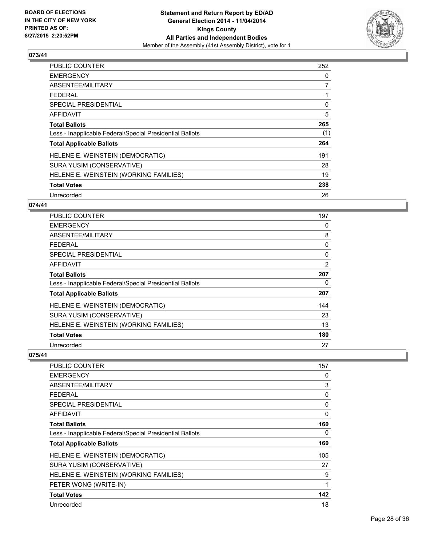

| <b>PUBLIC COUNTER</b>                                    | 252 |
|----------------------------------------------------------|-----|
| <b>EMERGENCY</b>                                         | 0   |
| ABSENTEE/MILITARY                                        | 7   |
| <b>FEDERAL</b>                                           | 1   |
| <b>SPECIAL PRESIDENTIAL</b>                              | 0   |
| <b>AFFIDAVIT</b>                                         | 5   |
| <b>Total Ballots</b>                                     | 265 |
| Less - Inapplicable Federal/Special Presidential Ballots | (1) |
| <b>Total Applicable Ballots</b>                          | 264 |
| HELENE E. WEINSTEIN (DEMOCRATIC)                         | 191 |
| SURA YUSIM (CONSERVATIVE)                                | 28  |
| HELENE E. WEINSTEIN (WORKING FAMILIES)                   | 19  |
| <b>Total Votes</b>                                       | 238 |
| Unrecorded                                               | 26  |

# **074/41**

| <b>PUBLIC COUNTER</b>                                    | 197            |
|----------------------------------------------------------|----------------|
| <b>EMERGENCY</b>                                         | 0              |
| ABSENTEE/MILITARY                                        | 8              |
| <b>FEDERAL</b>                                           | 0              |
| <b>SPECIAL PRESIDENTIAL</b>                              | 0              |
| AFFIDAVIT                                                | $\overline{2}$ |
| <b>Total Ballots</b>                                     | 207            |
| Less - Inapplicable Federal/Special Presidential Ballots | 0              |
| <b>Total Applicable Ballots</b>                          | 207            |
| HELENE E. WEINSTEIN (DEMOCRATIC)                         | 144            |
| SURA YUSIM (CONSERVATIVE)                                | 23             |
| HELENE E. WEINSTEIN (WORKING FAMILIES)                   | 13             |
| <b>Total Votes</b>                                       | 180            |
| Unrecorded                                               | 27             |

| <b>PUBLIC COUNTER</b>                                    | 157 |
|----------------------------------------------------------|-----|
| <b>EMERGENCY</b>                                         | 0   |
| ABSENTEE/MILITARY                                        | 3   |
| FEDERAL                                                  | 0   |
| <b>SPECIAL PRESIDENTIAL</b>                              | 0   |
| <b>AFFIDAVIT</b>                                         | 0   |
| <b>Total Ballots</b>                                     | 160 |
| Less - Inapplicable Federal/Special Presidential Ballots | 0   |
| <b>Total Applicable Ballots</b>                          | 160 |
| HELENE E. WEINSTEIN (DEMOCRATIC)                         | 105 |
| SURA YUSIM (CONSERVATIVE)                                | 27  |
| HELENE E. WEINSTEIN (WORKING FAMILIES)                   | 9   |
| PETER WONG (WRITE-IN)                                    | 1   |
| <b>Total Votes</b>                                       | 142 |
| Unrecorded                                               | 18  |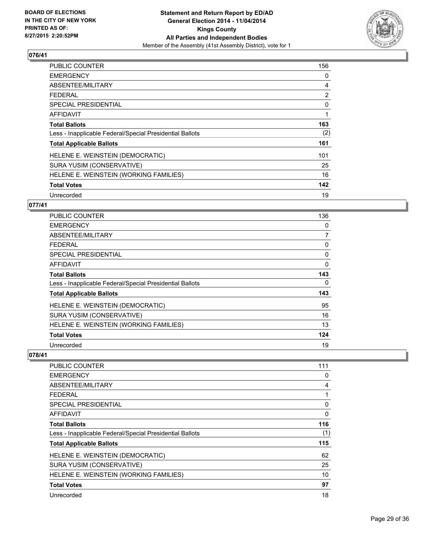

| <b>PUBLIC COUNTER</b>                                    | 156 |
|----------------------------------------------------------|-----|
| <b>EMERGENCY</b>                                         | 0   |
| ABSENTEE/MILITARY                                        | 4   |
| FEDERAL                                                  | 2   |
| SPECIAL PRESIDENTIAL                                     | 0   |
| <b>AFFIDAVIT</b>                                         | 1   |
| <b>Total Ballots</b>                                     | 163 |
| Less - Inapplicable Federal/Special Presidential Ballots | (2) |
| <b>Total Applicable Ballots</b>                          | 161 |
| HELENE E. WEINSTEIN (DEMOCRATIC)                         | 101 |
| SURA YUSIM (CONSERVATIVE)                                | 25  |
| HELENE E. WEINSTEIN (WORKING FAMILIES)                   | 16  |
| <b>Total Votes</b>                                       | 142 |
| Unrecorded                                               | 19  |

## **077/41**

| <b>PUBLIC COUNTER</b>                                    | 136 |
|----------------------------------------------------------|-----|
| <b>EMERGENCY</b>                                         | 0   |
| ABSENTEE/MILITARY                                        | 7   |
| <b>FEDERAL</b>                                           | 0   |
| <b>SPECIAL PRESIDENTIAL</b>                              | 0   |
| AFFIDAVIT                                                | 0   |
| Total Ballots                                            | 143 |
| Less - Inapplicable Federal/Special Presidential Ballots | 0   |
| <b>Total Applicable Ballots</b>                          | 143 |
| HELENE E. WEINSTEIN (DEMOCRATIC)                         | 95  |
| SURA YUSIM (CONSERVATIVE)                                | 16  |
| HELENE E. WEINSTEIN (WORKING FAMILIES)                   | 13  |
| <b>Total Votes</b>                                       | 124 |
| Unrecorded                                               | 19  |

| 111 |
|-----|
| 0   |
| 4   |
|     |
| 0   |
| 0   |
| 116 |
| (1) |
| 115 |
| 62  |
| 25  |
| 10  |
| 97  |
| 18  |
|     |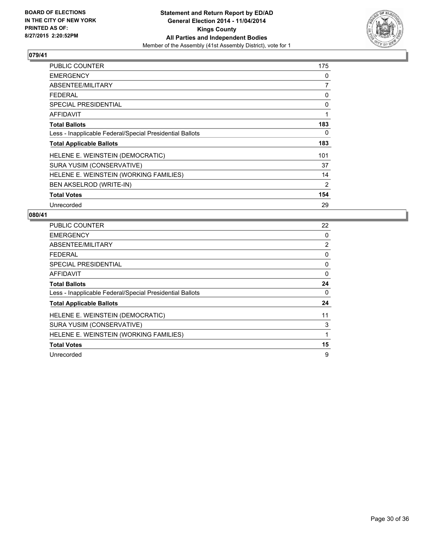

| <b>PUBLIC COUNTER</b>                                    | 175 |
|----------------------------------------------------------|-----|
| <b>EMERGENCY</b>                                         | 0   |
| ABSENTEE/MILITARY                                        | 7   |
| <b>FEDERAL</b>                                           | 0   |
| <b>SPECIAL PRESIDENTIAL</b>                              | 0   |
| AFFIDAVIT                                                | 1   |
| <b>Total Ballots</b>                                     | 183 |
| Less - Inapplicable Federal/Special Presidential Ballots | 0   |
| <b>Total Applicable Ballots</b>                          | 183 |
| HELENE E. WEINSTEIN (DEMOCRATIC)                         | 101 |
| SURA YUSIM (CONSERVATIVE)                                | 37  |
| HELENE E. WEINSTEIN (WORKING FAMILIES)                   | 14  |
| BEN AKSELROD (WRITE-IN)                                  | 2   |
| <b>Total Votes</b>                                       | 154 |
| Unrecorded                                               | 29  |

| PUBLIC COUNTER                                           | 22 |
|----------------------------------------------------------|----|
| <b>EMERGENCY</b>                                         | 0  |
| ABSENTEE/MILITARY                                        | 2  |
| FEDERAL                                                  | 0  |
| <b>SPECIAL PRESIDENTIAL</b>                              | 0  |
| AFFIDAVIT                                                | 0  |
| <b>Total Ballots</b>                                     | 24 |
| Less - Inapplicable Federal/Special Presidential Ballots | 0  |
| <b>Total Applicable Ballots</b>                          | 24 |
| HELENE E. WEINSTEIN (DEMOCRATIC)                         | 11 |
| SURA YUSIM (CONSERVATIVE)                                | 3  |
| HELENE E. WEINSTEIN (WORKING FAMILIES)                   | 1  |
| <b>Total Votes</b>                                       | 15 |
| Unrecorded                                               | 9  |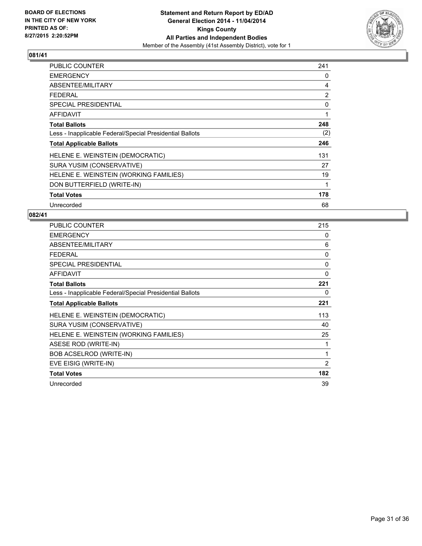

| <b>PUBLIC COUNTER</b>                                    | 241 |
|----------------------------------------------------------|-----|
| <b>EMERGENCY</b>                                         | 0   |
| ABSENTEE/MILITARY                                        | 4   |
| <b>FEDERAL</b>                                           | 2   |
| <b>SPECIAL PRESIDENTIAL</b>                              | 0   |
| AFFIDAVIT                                                | 1   |
| <b>Total Ballots</b>                                     | 248 |
| Less - Inapplicable Federal/Special Presidential Ballots | (2) |
| <b>Total Applicable Ballots</b>                          | 246 |
| HELENE E. WEINSTEIN (DEMOCRATIC)                         | 131 |
| SURA YUSIM (CONSERVATIVE)                                | 27  |
| HELENE E. WEINSTEIN (WORKING FAMILIES)                   | 19  |
| DON BUTTERFIELD (WRITE-IN)                               | 1   |
| <b>Total Votes</b>                                       | 178 |
| Unrecorded                                               | 68  |

| <b>PUBLIC COUNTER</b>                                    | 215 |
|----------------------------------------------------------|-----|
| <b>EMERGENCY</b>                                         | 0   |
| ABSENTEE/MILITARY                                        | 6   |
| <b>FEDERAL</b>                                           | 0   |
| <b>SPECIAL PRESIDENTIAL</b>                              | 0   |
| <b>AFFIDAVIT</b>                                         | 0   |
| <b>Total Ballots</b>                                     | 221 |
| Less - Inapplicable Federal/Special Presidential Ballots | 0   |
| <b>Total Applicable Ballots</b>                          | 221 |
| HELENE E. WEINSTEIN (DEMOCRATIC)                         | 113 |
| SURA YUSIM (CONSERVATIVE)                                | 40  |
| HELENE E. WEINSTEIN (WORKING FAMILIES)                   | 25  |
| ASESE ROD (WRITE-IN)                                     | 1   |
| BOB ACSELROD (WRITE-IN)                                  | 1   |
| EVE EISIG (WRITE-IN)                                     | 2   |
| <b>Total Votes</b>                                       | 182 |
| Unrecorded                                               | 39  |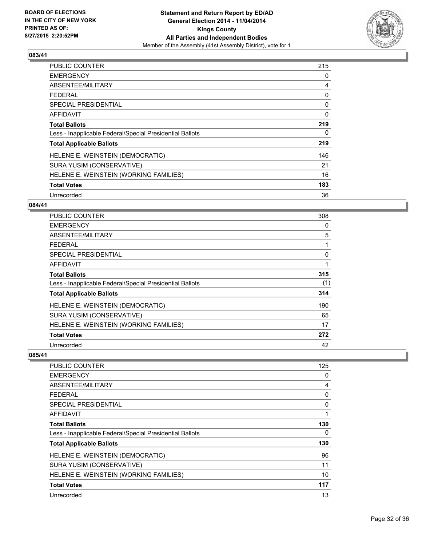

| <b>PUBLIC COUNTER</b>                                    | 215 |
|----------------------------------------------------------|-----|
| <b>EMERGENCY</b>                                         | 0   |
| ABSENTEE/MILITARY                                        | 4   |
| <b>FEDERAL</b>                                           | 0   |
| SPECIAL PRESIDENTIAL                                     | 0   |
| <b>AFFIDAVIT</b>                                         | 0   |
| <b>Total Ballots</b>                                     | 219 |
| Less - Inapplicable Federal/Special Presidential Ballots | 0   |
| <b>Total Applicable Ballots</b>                          | 219 |
| HELENE E. WEINSTEIN (DEMOCRATIC)                         | 146 |
| SURA YUSIM (CONSERVATIVE)                                | 21  |
| HELENE E. WEINSTEIN (WORKING FAMILIES)                   | 16  |
| <b>Total Votes</b>                                       | 183 |
| Unrecorded                                               | 36  |

## **084/41**

| <b>PUBLIC COUNTER</b>                                    | 308 |
|----------------------------------------------------------|-----|
| <b>EMERGENCY</b>                                         | 0   |
| ABSENTEE/MILITARY                                        | 5   |
| <b>FEDERAL</b>                                           |     |
| <b>SPECIAL PRESIDENTIAL</b>                              | 0   |
| AFFIDAVIT                                                | 1   |
| Total Ballots                                            | 315 |
| Less - Inapplicable Federal/Special Presidential Ballots | (1) |
| <b>Total Applicable Ballots</b>                          | 314 |
| HELENE E. WEINSTEIN (DEMOCRATIC)                         | 190 |
| SURA YUSIM (CONSERVATIVE)                                | 65  |
| HELENE E. WEINSTEIN (WORKING FAMILIES)                   | 17  |
| <b>Total Votes</b>                                       | 272 |
| Unrecorded                                               | 42  |

| <b>PUBLIC COUNTER</b>                                    | 125 |
|----------------------------------------------------------|-----|
| <b>EMERGENCY</b>                                         | 0   |
| ABSENTEE/MILITARY                                        | 4   |
| <b>FEDERAL</b>                                           | 0   |
| SPECIAL PRESIDENTIAL                                     | 0   |
| AFFIDAVIT                                                | 1   |
| <b>Total Ballots</b>                                     | 130 |
| Less - Inapplicable Federal/Special Presidential Ballots | 0   |
| <b>Total Applicable Ballots</b>                          | 130 |
| HELENE E. WEINSTEIN (DEMOCRATIC)                         | 96  |
| SURA YUSIM (CONSERVATIVE)                                | 11  |
| HELENE E. WEINSTEIN (WORKING FAMILIES)                   | 10  |
| <b>Total Votes</b>                                       | 117 |
| Unrecorded                                               | 13  |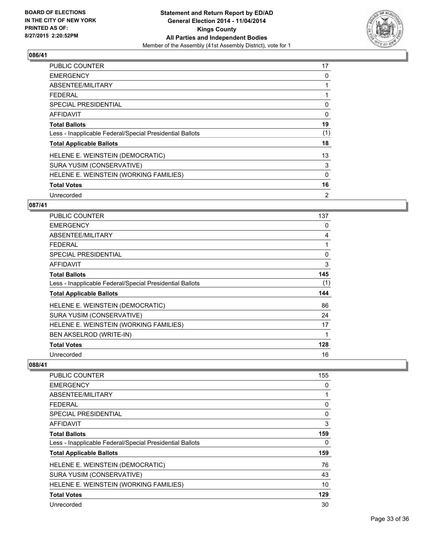

| PUBLIC COUNTER                                           | 17  |
|----------------------------------------------------------|-----|
| <b>EMERGENCY</b>                                         | 0   |
| ABSENTEE/MILITARY                                        | 1   |
| <b>FEDERAL</b>                                           |     |
| <b>SPECIAL PRESIDENTIAL</b>                              | 0   |
| AFFIDAVIT                                                | 0   |
| <b>Total Ballots</b>                                     | 19  |
| Less - Inapplicable Federal/Special Presidential Ballots | (1) |
| <b>Total Applicable Ballots</b>                          | 18  |
| HELENE E. WEINSTEIN (DEMOCRATIC)                         | 13  |
| SURA YUSIM (CONSERVATIVE)                                | 3   |
| HELENE E. WEINSTEIN (WORKING FAMILIES)                   | 0   |
| <b>Total Votes</b>                                       | 16  |
| Unrecorded                                               | 2   |

# **087/41**

| <b>PUBLIC COUNTER</b>                                    | 137 |
|----------------------------------------------------------|-----|
| <b>EMERGENCY</b>                                         | 0   |
| ABSENTEE/MILITARY                                        | 4   |
| <b>FEDERAL</b>                                           |     |
| <b>SPECIAL PRESIDENTIAL</b>                              | 0   |
| AFFIDAVIT                                                | 3   |
| <b>Total Ballots</b>                                     | 145 |
| Less - Inapplicable Federal/Special Presidential Ballots | (1) |
| <b>Total Applicable Ballots</b>                          | 144 |
| HELENE E. WEINSTEIN (DEMOCRATIC)                         | 86  |
| SURA YUSIM (CONSERVATIVE)                                | 24  |
| HELENE E. WEINSTEIN (WORKING FAMILIES)                   | 17  |
| BEN AKSELROD (WRITE-IN)                                  | 1   |
| <b>Total Votes</b>                                       | 128 |
| Unrecorded                                               | 16  |

| <b>PUBLIC COUNTER</b>                                    | 155 |
|----------------------------------------------------------|-----|
| <b>EMERGENCY</b>                                         | 0   |
| ABSENTEE/MILITARY                                        | 1   |
| <b>FEDERAL</b>                                           | 0   |
| SPECIAL PRESIDENTIAL                                     | 0   |
| AFFIDAVIT                                                | 3   |
| <b>Total Ballots</b>                                     | 159 |
| Less - Inapplicable Federal/Special Presidential Ballots | 0   |
| <b>Total Applicable Ballots</b>                          | 159 |
| HELENE E. WEINSTEIN (DEMOCRATIC)                         | 76  |
| SURA YUSIM (CONSERVATIVE)                                | 43  |
| HELENE E. WEINSTEIN (WORKING FAMILIES)                   | 10  |
| <b>Total Votes</b>                                       | 129 |
| Unrecorded                                               | 30  |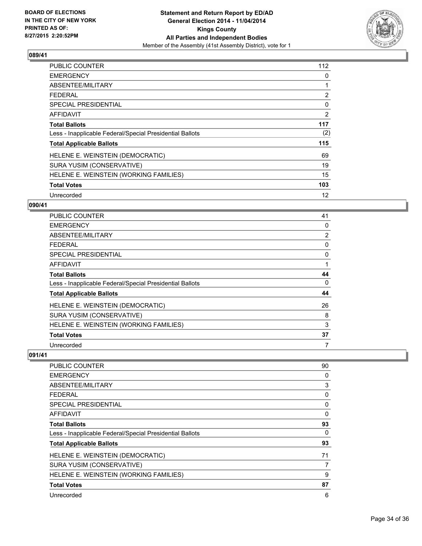

| <b>PUBLIC COUNTER</b>                                    | 112 |
|----------------------------------------------------------|-----|
| <b>EMERGENCY</b>                                         | 0   |
| ABSENTEE/MILITARY                                        |     |
| <b>FEDERAL</b>                                           | 2   |
| SPECIAL PRESIDENTIAL                                     | 0   |
| AFFIDAVIT                                                | 2   |
| <b>Total Ballots</b>                                     | 117 |
| Less - Inapplicable Federal/Special Presidential Ballots | (2) |
| <b>Total Applicable Ballots</b>                          | 115 |
| HELENE E. WEINSTEIN (DEMOCRATIC)                         | 69  |
| SURA YUSIM (CONSERVATIVE)                                | 19  |
| HELENE E. WEINSTEIN (WORKING FAMILIES)                   | 15  |
| <b>Total Votes</b>                                       | 103 |
| Unrecorded                                               | 12  |

# **090/41**

| PUBLIC COUNTER                                           | 41             |
|----------------------------------------------------------|----------------|
| <b>EMERGENCY</b>                                         | 0              |
| ABSENTEE/MILITARY                                        | $\overline{2}$ |
| <b>FEDERAL</b>                                           | 0              |
| <b>SPECIAL PRESIDENTIAL</b>                              | 0              |
| AFFIDAVIT                                                |                |
| <b>Total Ballots</b>                                     | 44             |
| Less - Inapplicable Federal/Special Presidential Ballots | 0              |
| <b>Total Applicable Ballots</b>                          | 44             |
| HELENE E. WEINSTEIN (DEMOCRATIC)                         | 26             |
| SURA YUSIM (CONSERVATIVE)                                | 8              |
| HELENE E. WEINSTEIN (WORKING FAMILIES)                   | 3              |
| <b>Total Votes</b>                                       | 37             |
| Unrecorded                                               | 7              |

| PUBLIC COUNTER                                           | 90 |
|----------------------------------------------------------|----|
| <b>EMERGENCY</b>                                         | 0  |
| ABSENTEE/MILITARY                                        | 3  |
| <b>FEDERAL</b>                                           | 0  |
| SPECIAL PRESIDENTIAL                                     | 0  |
| AFFIDAVIT                                                | 0  |
| <b>Total Ballots</b>                                     | 93 |
| Less - Inapplicable Federal/Special Presidential Ballots | 0  |
| <b>Total Applicable Ballots</b>                          | 93 |
| HELENE E. WEINSTEIN (DEMOCRATIC)                         | 71 |
| SURA YUSIM (CONSERVATIVE)                                | 7  |
| HELENE E. WEINSTEIN (WORKING FAMILIES)                   | 9  |
| <b>Total Votes</b>                                       | 87 |
| Unrecorded                                               | 6  |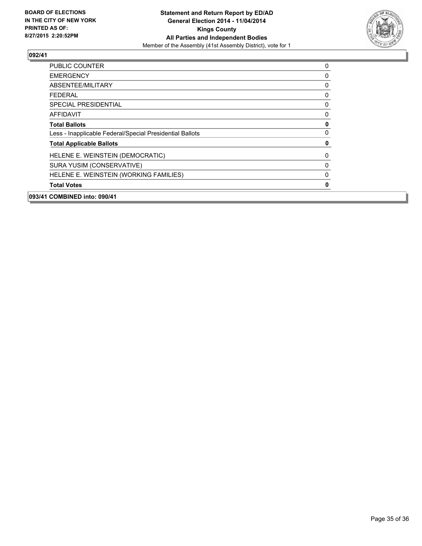

| 093/41 COMBINED into: 090/41                             |   |
|----------------------------------------------------------|---|
| <b>Total Votes</b>                                       | 0 |
| HELENE E. WEINSTEIN (WORKING FAMILIES)                   | 0 |
| SURA YUSIM (CONSERVATIVE)                                | 0 |
| HELENE E. WEINSTEIN (DEMOCRATIC)                         | 0 |
| <b>Total Applicable Ballots</b>                          | 0 |
| Less - Inapplicable Federal/Special Presidential Ballots | 0 |
| <b>Total Ballots</b>                                     | 0 |
| <b>AFFIDAVIT</b>                                         | 0 |
| <b>SPECIAL PRESIDENTIAL</b>                              | 0 |
| <b>FEDERAL</b>                                           | 0 |
| <b>ABSENTEE/MILITARY</b>                                 | 0 |
| <b>EMERGENCY</b>                                         | 0 |
| <b>PUBLIC COUNTER</b>                                    | 0 |